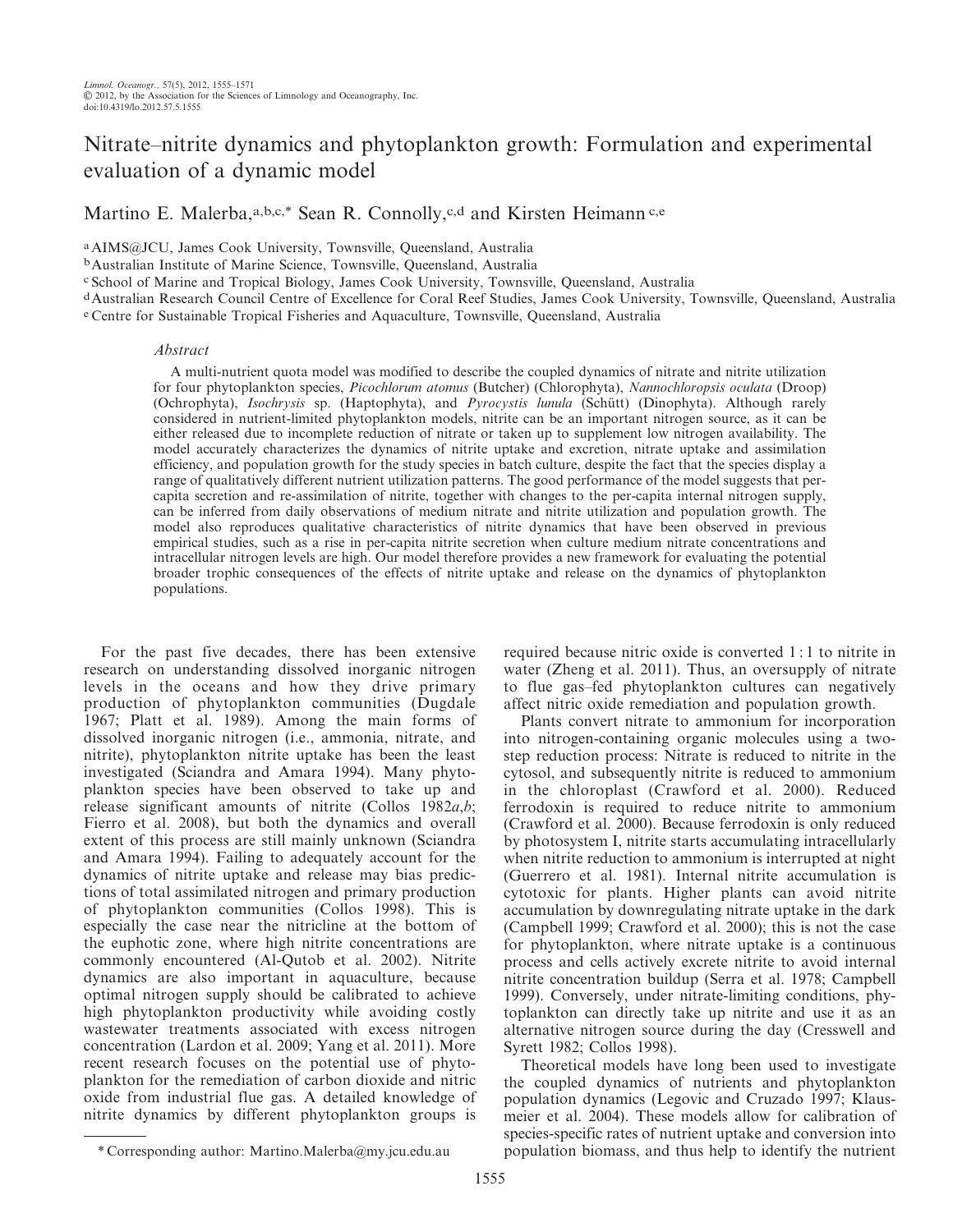# Nitrate–nitrite dynamics and phytoplankton growth: Formulation and experimental evaluation of a dynamic model

Martino E. Malerba, a, b,c,\* Sean R. Connolly, c,d and Kirsten Heimann c,e

aAIMS@JCU, James Cook University, Townsville, Queensland, Australia

bAustralian Institute of Marine Science, Townsville, Queensland, Australia

c School of Marine and Tropical Biology, James Cook University, Townsville, Queensland, Australia

dAustralian Research Council Centre of Excellence for Coral Reef Studies, James Cook University, Townsville, Queensland, Australia e Centre for Sustainable Tropical Fisheries and Aquaculture, Townsville, Queensland, Australia

#### Abstract

A multi-nutrient quota model was modified to describe the coupled dynamics of nitrate and nitrite utilization for four phytoplankton species, Picochlorum atomus (Butcher) (Chlorophyta), Nannochloropsis oculata (Droop) (Ochrophyta), Isochrysis sp. (Haptophyta), and Pyrocystis lunula (Schütt) (Dinophyta). Although rarely considered in nutrient-limited phytoplankton models, nitrite can be an important nitrogen source, as it can be either released due to incomplete reduction of nitrate or taken up to supplement low nitrogen availability. The model accurately characterizes the dynamics of nitrite uptake and excretion, nitrate uptake and assimilation efficiency, and population growth for the study species in batch culture, despite the fact that the species display a range of qualitatively different nutrient utilization patterns. The good performance of the model suggests that percapita secretion and re-assimilation of nitrite, together with changes to the per-capita internal nitrogen supply, can be inferred from daily observations of medium nitrate and nitrite utilization and population growth. The model also reproduces qualitative characteristics of nitrite dynamics that have been observed in previous empirical studies, such as a rise in per-capita nitrite secretion when culture medium nitrate concentrations and intracellular nitrogen levels are high. Our model therefore provides a new framework for evaluating the potential broader trophic consequences of the effects of nitrite uptake and release on the dynamics of phytoplankton populations.

For the past five decades, there has been extensive research on understanding dissolved inorganic nitrogen levels in the oceans and how they drive primary production of phytoplankton communities (Dugdale 1967; Platt et al. 1989). Among the main forms of dissolved inorganic nitrogen (i.e., ammonia, nitrate, and nitrite), phytoplankton nitrite uptake has been the least investigated (Sciandra and Amara 1994). Many phytoplankton species have been observed to take up and release significant amounts of nitrite (Collos 1982a,b; Fierro et al. 2008), but both the dynamics and overall extent of this process are still mainly unknown (Sciandra and Amara 1994). Failing to adequately account for the dynamics of nitrite uptake and release may bias predictions of total assimilated nitrogen and primary production of phytoplankton communities (Collos 1998). This is especially the case near the nitricline at the bottom of the euphotic zone, where high nitrite concentrations are commonly encountered (Al-Qutob et al. 2002). Nitrite dynamics are also important in aquaculture, because optimal nitrogen supply should be calibrated to achieve high phytoplankton productivity while avoiding costly wastewater treatments associated with excess nitrogen concentration (Lardon et al. 2009; Yang et al. 2011). More recent research focuses on the potential use of phytoplankton for the remediation of carbon dioxide and nitric oxide from industrial flue gas. A detailed knowledge of nitrite dynamics by different phytoplankton groups is

Plants convert nitrate to ammonium for incorporation into nitrogen-containing organic molecules using a twostep reduction process: Nitrate is reduced to nitrite in the cytosol, and subsequently nitrite is reduced to ammonium in the chloroplast (Crawford et al. 2000). Reduced ferrodoxin is required to reduce nitrite to ammonium (Crawford et al. 2000). Because ferrodoxin is only reduced by photosystem I, nitrite starts accumulating intracellularly when nitrite reduction to ammonium is interrupted at night (Guerrero et al. 1981). Internal nitrite accumulation is cytotoxic for plants. Higher plants can avoid nitrite accumulation by downregulating nitrate uptake in the dark (Campbell 1999; Crawford et al. 2000); this is not the case for phytoplankton, where nitrate uptake is a continuous process and cells actively excrete nitrite to avoid internal nitrite concentration buildup (Serra et al. 1978; Campbell 1999). Conversely, under nitrate-limiting conditions, phytoplankton can directly take up nitrite and use it as an alternative nitrogen source during the day (Cresswell and Syrett 1982; Collos 1998).

Theoretical models have long been used to investigate the coupled dynamics of nutrients and phytoplankton population dynamics (Legovic and Cruzado 1997; Klausmeier et al. 2004). These models allow for calibration of species-specific rates of nutrient uptake and conversion into \* Corresponding author: Martino.Malerba@my.jcu.edu.au population biomass, and thus help to identify the nutrient

required because nitric oxide is converted 1 : 1 to nitrite in water (Zheng et al. 2011). Thus, an oversupply of nitrate to flue gas–fed phytoplankton cultures can negatively affect nitric oxide remediation and population growth.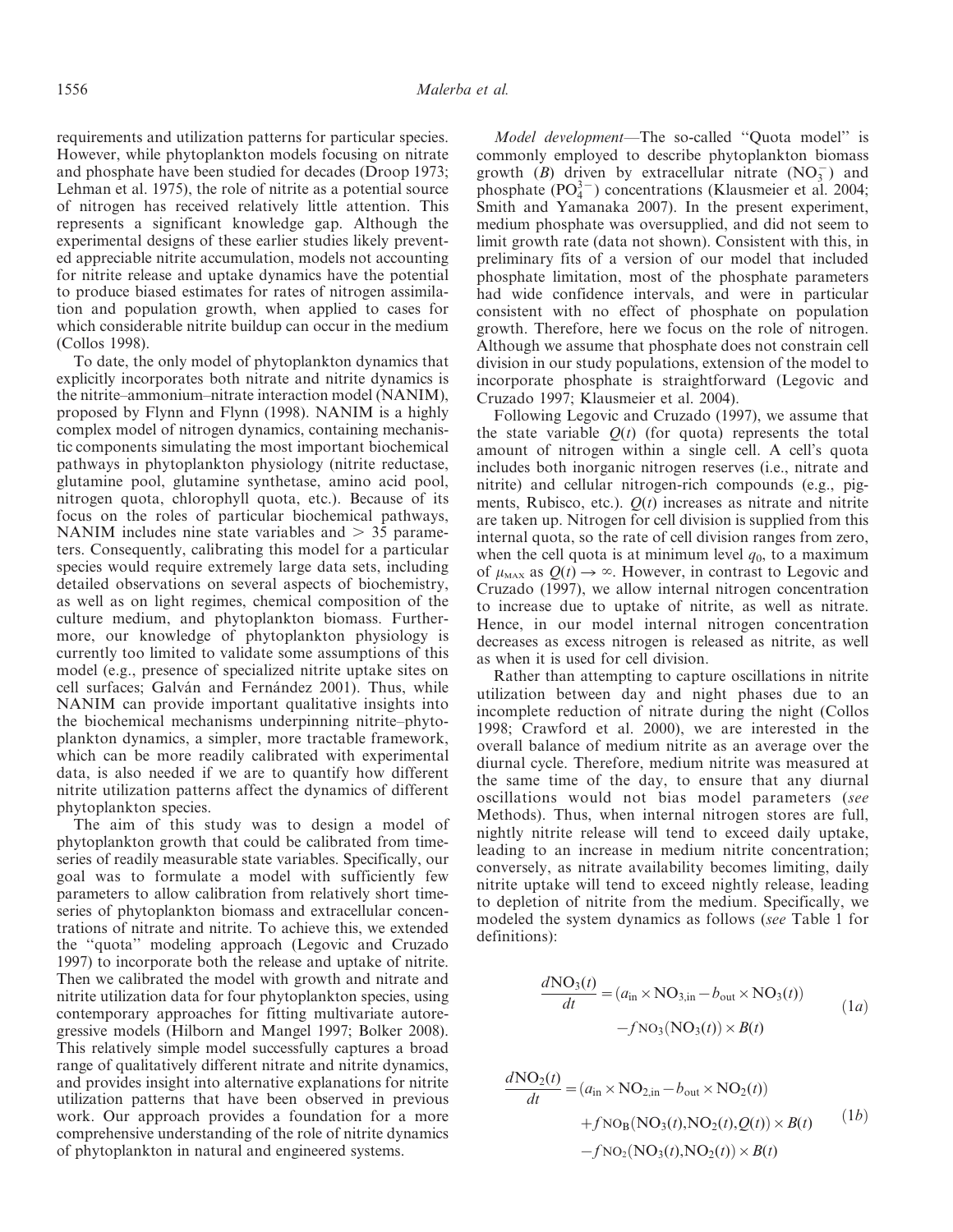requirements and utilization patterns for particular species. However, while phytoplankton models focusing on nitrate and phosphate have been studied for decades (Droop 1973; Lehman et al. 1975), the role of nitrite as a potential source of nitrogen has received relatively little attention. This represents a significant knowledge gap. Although the experimental designs of these earlier studies likely prevented appreciable nitrite accumulation, models not accounting for nitrite release and uptake dynamics have the potential to produce biased estimates for rates of nitrogen assimilation and population growth, when applied to cases for which considerable nitrite buildup can occur in the medium (Collos 1998).

To date, the only model of phytoplankton dynamics that explicitly incorporates both nitrate and nitrite dynamics is the nitrite–ammonium–nitrate interaction model (NANIM), proposed by Flynn and Flynn (1998). NANIM is a highly complex model of nitrogen dynamics, containing mechanistic components simulating the most important biochemical pathways in phytoplankton physiology (nitrite reductase, glutamine pool, glutamine synthetase, amino acid pool, nitrogen quota, chlorophyll quota, etc.). Because of its focus on the roles of particular biochemical pathways, NANIM includes nine state variables and  $> 35$  parameters. Consequently, calibrating this model for a particular species would require extremely large data sets, including detailed observations on several aspects of biochemistry, as well as on light regimes, chemical composition of the culture medium, and phytoplankton biomass. Furthermore, our knowledge of phytoplankton physiology is currently too limited to validate some assumptions of this model (e.g., presence of specialized nitrite uptake sites on cell surfaces; Galván and Fernández 2001). Thus, while NANIM can provide important qualitative insights into the biochemical mechanisms underpinning nitrite–phytoplankton dynamics, a simpler, more tractable framework, which can be more readily calibrated with experimental data, is also needed if we are to quantify how different nitrite utilization patterns affect the dynamics of different phytoplankton species.

The aim of this study was to design a model of phytoplankton growth that could be calibrated from timeseries of readily measurable state variables. Specifically, our goal was to formulate a model with sufficiently few parameters to allow calibration from relatively short timeseries of phytoplankton biomass and extracellular concentrations of nitrate and nitrite. To achieve this, we extended the ''quota'' modeling approach (Legovic and Cruzado 1997) to incorporate both the release and uptake of nitrite. Then we calibrated the model with growth and nitrate and nitrite utilization data for four phytoplankton species, using contemporary approaches for fitting multivariate autoregressive models (Hilborn and Mangel 1997; Bolker 2008). This relatively simple model successfully captures a broad range of qualitatively different nitrate and nitrite dynamics, and provides insight into alternative explanations for nitrite utilization patterns that have been observed in previous work. Our approach provides a foundation for a more comprehensive understanding of the role of nitrite dynamics of phytoplankton in natural and engineered systems.

Model development—The so-called ''Quota model'' is commonly employed to describe phytoplankton biomass growth (B) driven by extracellular nitrate  $(NO<sub>3</sub><sup>-</sup>)$  and phosphate  $(PO_4^{3-})$  concentrations (Klausmeier et al. 2004; Smith and Yamanaka 2007). In the present experiment, medium phosphate was oversupplied, and did not seem to limit growth rate (data not shown). Consistent with this, in preliminary fits of a version of our model that included phosphate limitation, most of the phosphate parameters had wide confidence intervals, and were in particular consistent with no effect of phosphate on population growth. Therefore, here we focus on the role of nitrogen. Although we assume that phosphate does not constrain cell division in our study populations, extension of the model to incorporate phosphate is straightforward (Legovic and Cruzado 1997; Klausmeier et al. 2004).

Following Legovic and Cruzado (1997), we assume that the state variable  $Q(t)$  (for quota) represents the total amount of nitrogen within a single cell. A cell's quota includes both inorganic nitrogen reserves (i.e., nitrate and nitrite) and cellular nitrogen-rich compounds (e.g., pigments, Rubisco, etc.).  $Q(t)$  increases as nitrate and nitrite are taken up. Nitrogen for cell division is supplied from this internal quota, so the rate of cell division ranges from zero, when the cell quota is at minimum level  $q_0$ , to a maximum of  $\mu_{\text{max}}$  as  $Q(t) \rightarrow \infty$ . However, in contrast to Legovic and Cruzado (1997), we allow internal nitrogen concentration to increase due to uptake of nitrite, as well as nitrate. Hence, in our model internal nitrogen concentration decreases as excess nitrogen is released as nitrite, as well as when it is used for cell division.

Rather than attempting to capture oscillations in nitrite utilization between day and night phases due to an incomplete reduction of nitrate during the night (Collos 1998; Crawford et al. 2000), we are interested in the overall balance of medium nitrite as an average over the diurnal cycle. Therefore, medium nitrite was measured at the same time of the day, to ensure that any diurnal oscillations would not bias model parameters (see Methods). Thus, when internal nitrogen stores are full, nightly nitrite release will tend to exceed daily uptake, leading to an increase in medium nitrite concentration; conversely, as nitrate availability becomes limiting, daily nitrite uptake will tend to exceed nightly release, leading to depletion of nitrite from the medium. Specifically, we modeled the system dynamics as follows (see Table 1 for definitions):

 $d = 1$ 

$$
\frac{d\text{NO}_3(t)}{dt} = (a_{\text{in}} \times \text{NO}_{3,\text{in}} - b_{\text{out}} \times \text{NO}_3(t))
$$
  
-f\text{NO}\_3(\text{NO}\_3(t)) \times B(t) (1a)

$$
\frac{d\text{NO}_2(t)}{dt} = (a_{\text{in}} \times \text{NO}_{2,\text{in}} - b_{\text{out}} \times \text{NO}_2(t))
$$
  
+ $f \text{NO}_B(\text{NO}_3(t), \text{NO}_2(t), Q(t)) \times B(t)$  (1b)  
- $f \text{NO}_2(\text{NO}_3(t), \text{NO}_2(t)) \times B(t)$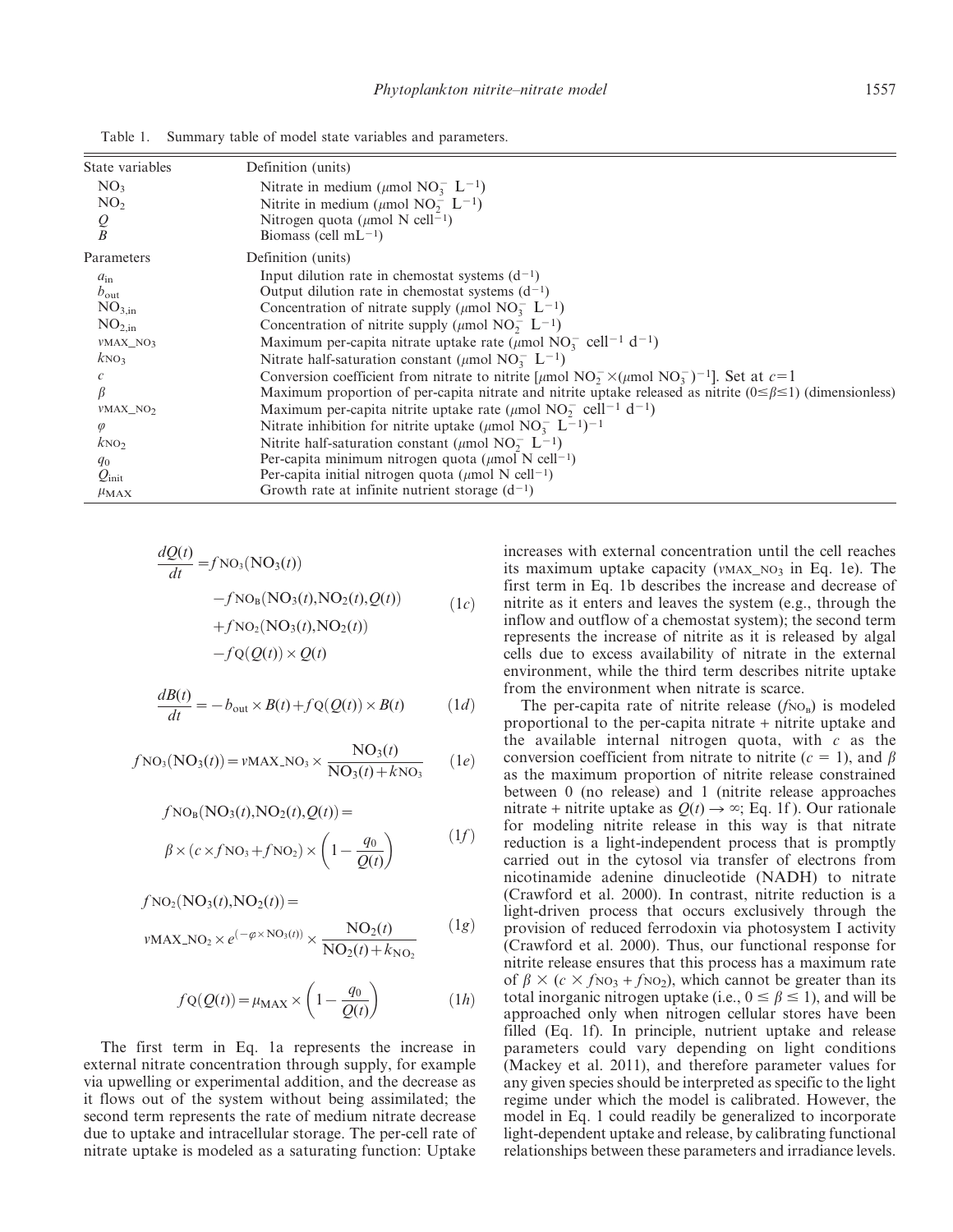| State variables             | Definition (units)                                                                                                                              |
|-----------------------------|-------------------------------------------------------------------------------------------------------------------------------------------------|
| NO <sub>3</sub>             | Nitrate in medium ( $\mu$ mol NO <sub>3</sub> L <sup>-1</sup> )                                                                                 |
| NO <sub>2</sub>             | Nitrite in medium ( $\mu$ mol NO <sub>2</sub> L <sup>-1</sup> )                                                                                 |
| $\underset{B}{\mathcal{Q}}$ | Nitrogen quota ( $\mu$ mol N cell <sup>-1</sup> )                                                                                               |
|                             | Biomass (cell $mL^{-1}$ )                                                                                                                       |
| Parameters                  | Definition (units)                                                                                                                              |
| $a_{\rm in}$                | Input dilution rate in chemostat systems $(d^{-1})$                                                                                             |
| $b_{\text{out}}$            | Output dilution rate in chemostat systems $(d^{-1})$                                                                                            |
| NO <sub>3,in</sub>          | Concentration of nitrate supply ( $\mu$ mol NO <sub>3</sub> L <sup>-1</sup> )                                                                   |
| NO <sub>2,in</sub>          | Concentration of nitrite supply ( $\mu$ mol NO <sub>2</sub> <sup>-</sup> L <sup>-1</sup> )                                                      |
| $VMAX_NO_3$                 | Maximum per-capita nitrate uptake rate ( $\mu$ mol NO <sub>3</sub> cell <sup>-1</sup> d <sup>-1</sup> )                                         |
| kNO <sub>3</sub>            | Nitrate half-saturation constant ( $\mu$ mol NO <sub>3</sub> L <sup>-1</sup> )                                                                  |
|                             | Conversion coefficient from nitrate to nitrite [ $\mu$ mol NO <sub>2</sub> $\times$ ( $\mu$ mol NO <sub>3</sub> ) <sup>-1</sup> ]. Set at $c=1$ |
|                             | Maximum proportion of per-capita nitrate and nitrite uptake released as nitrite $(0 \le \beta \le 1)$ (dimensionless)                           |
| $VMAX_NO_2$                 | Maximum per-capita nitrite uptake rate ( $\mu$ mol NO <sub>2</sub> cell <sup>-1</sup> d <sup>-1</sup> )                                         |
| $\varphi$                   | Nitrate inhibition for nitrite uptake ( $\mu$ mol NO <sub>3</sub> L <sup>-1</sup> ) <sup>-1</sup>                                               |
| kNO <sub>2</sub>            | Nitrite half-saturation constant ( $\mu$ mol NO <sub>7</sub> L <sup>-1</sup> )                                                                  |
| $q_0$                       | Per-capita minimum nitrogen quota ( $\mu$ mol N cell <sup>-1</sup> )                                                                            |
| $Q_{\text{init}}$           | Per-capita initial nitrogen quota ( $\mu$ mol N cell <sup>-1</sup> )                                                                            |
| $\mu_{MAX}$                 | Growth rate at infinite nutrient storage $(d^{-1})$                                                                                             |

Table 1. Summary table of model state variables and parameters.

$$
\frac{dQ(t)}{dt} = fNO_3(NO_3(t))
$$
  
\n
$$
-fNO_B(NO_3(t), NO_2(t), Q(t))
$$
  
\n
$$
+fNO_2(NO_3(t), NO_2(t))
$$
  
\n
$$
-fO(Q(t)) \times Q(t)
$$
 (1c)

$$
\frac{dB(t)}{dt} = -b_{\text{out}} \times B(t) + fQ(Q(t)) \times B(t) \tag{1d}
$$

$$
f_{\text{NO}_3(\text{NO}_3(t))} = \nu_{\text{MAX\_NO}_3} \times \frac{\text{NO}_3(t)}{\text{NO}_3(t) + k\text{NO}_3} \qquad (1e)
$$

$$
fNOB(NO3(t), NO2(t), Q(t)) =
$$
  

$$
\beta \times (c \times fNO3 + fNO2) \times (1 - \frac{q_0}{Q(t)})
$$
 (1f)

$$
fNO2(NO3(t), NO2(t)) =
$$
  

$$
vMAX_NO2 \times e^{(-\varphi \times NO3(t))} \times \frac{NO2(t)}{NO2(t) + k_{NO}}
$$
 (1g)

$$
fQ(Q(t)) = \mu_{\text{MAX}} \times \left(1 - \frac{q_0}{Q(t)}\right) \tag{1h}
$$

The first term in Eq. 1a represents the increase in external nitrate concentration through supply, for example via upwelling or experimental addition, and the decrease as it flows out of the system without being assimilated; the second term represents the rate of medium nitrate decrease due to uptake and intracellular storage. The per-cell rate of nitrate uptake is modeled as a saturating function: Uptake

increases with external concentration until the cell reaches its maximum uptake capacity ( $v$ MAX\_NO<sub>3</sub> in Eq. 1e). The first term in Eq. 1b describes the increase and decrease of nitrite as it enters and leaves the system (e.g., through the inflow and outflow of a chemostat system); the second term represents the increase of nitrite as it is released by algal cells due to excess availability of nitrate in the external environment, while the third term describes nitrite uptake from the environment when nitrate is scarce.

The per-capita rate of nitrite release  $(f_{NO_B})$  is modeled proportional to the per-capita nitrate + nitrite uptake and the available internal nitrogen quota, with  $c$  as the conversion coefficient from nitrate to nitrite ( $c = 1$ ), and  $\beta$ as the maximum proportion of nitrite release constrained between 0 (no release) and 1 (nitrite release approaches nitrate + nitrite uptake as  $Q(t) \rightarrow \infty$ ; Eq. 1f ). Our rationale for modeling nitrite release in this way is that nitrate reduction is a light-independent process that is promptly carried out in the cytosol via transfer of electrons from nicotinamide adenine dinucleotide (NADH) to nitrate (Crawford et al. 2000). In contrast, nitrite reduction is a light-driven process that occurs exclusively through the provision of reduced ferrodoxin via photosystem I activity (Crawford et al. 2000). Thus, our functional response for nitrite release ensures that this process has a maximum rate of  $\beta \times (c \times f_{NQ_3} + f_{NQ_2})$ , which cannot be greater than its total inorganic nitrogen uptake (i.e.,  $0 \le \beta \le 1$ ), and will be approached only when nitrogen cellular stores have been filled (Eq. 1f). In principle, nutrient uptake and release parameters could vary depending on light conditions (Mackey et al. 2011), and therefore parameter values for any given species should be interpreted as specific to the light regime under which the model is calibrated. However, the model in Eq. 1 could readily be generalized to incorporate light-dependent uptake and release, by calibrating functional relationships between these parameters and irradiance levels.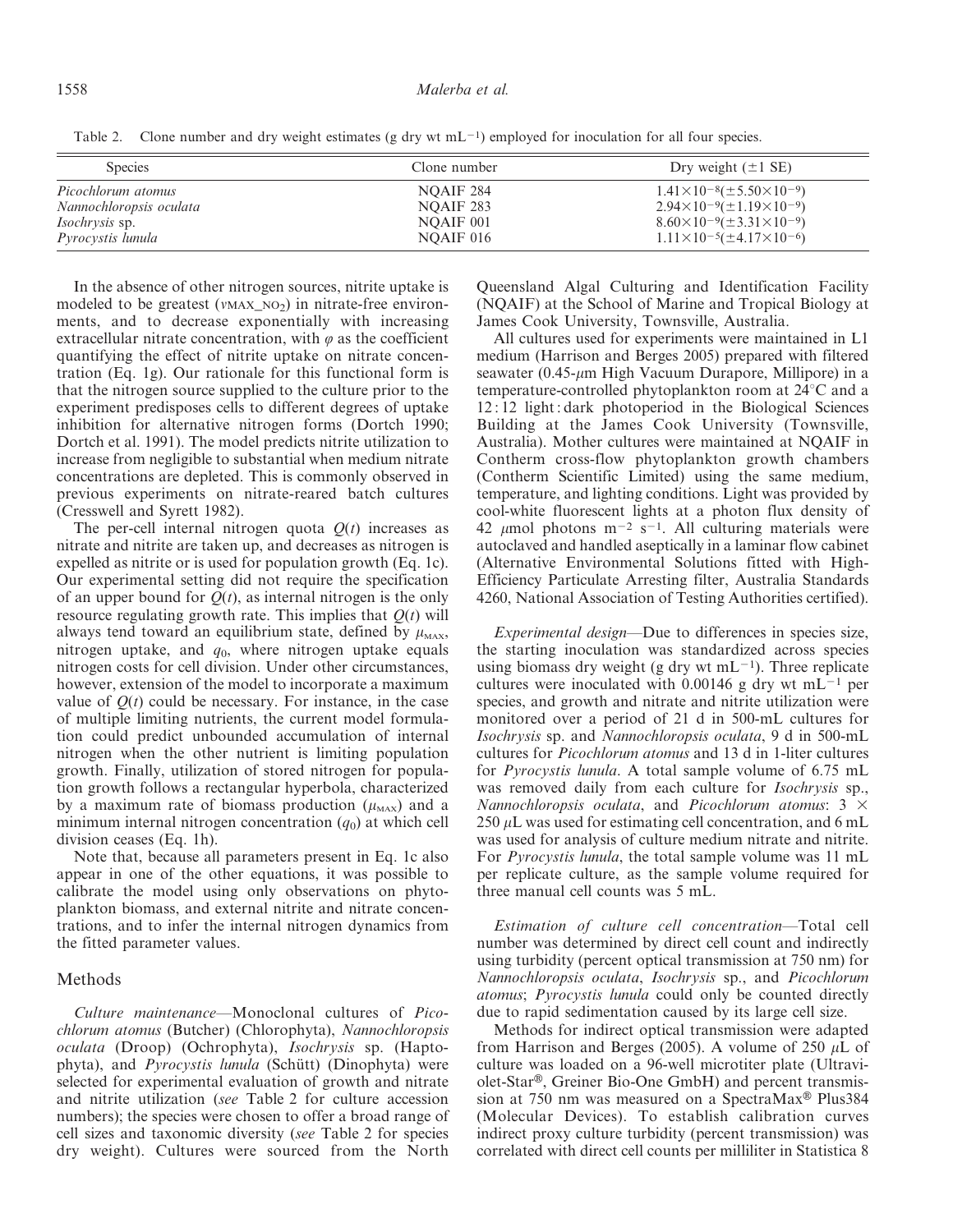Table 2. Clone number and dry weight estimates (g dry wt  $mL^{-1}$ ) employed for inoculation for all four species.

| <b>Species</b>           | Clone number | Dry weight $(\pm 1 \text{ SE})$            |
|--------------------------|--------------|--------------------------------------------|
| Picochlorum atomus       | NOAIF 284    | $1.41\times10^{-8}(\pm 5.50\times10^{-9})$ |
| Nannochloropsis oculata  | NOAIF 283    | $2.94\times10^{-9}(\pm1.19\times10^{-9})$  |
| <i>Isochrysis</i> sp.    | NOAIF 001    | $8.60\times10^{-9}(\pm3.31\times10^{-9})$  |
| <i>Pyrocystis lunula</i> | NOAIF 016    | $1.11\times10^{-5}(\pm4.17\times10^{-6})$  |

In the absence of other nitrogen sources, nitrite uptake is modeled to be greatest ( $v$ MAX\_NO<sub>2</sub>) in nitrate-free environments, and to decrease exponentially with increasing extracellular nitrate concentration, with  $\varphi$  as the coefficient quantifying the effect of nitrite uptake on nitrate concentration (Eq. 1g). Our rationale for this functional form is that the nitrogen source supplied to the culture prior to the experiment predisposes cells to different degrees of uptake inhibition for alternative nitrogen forms (Dortch 1990; Dortch et al. 1991). The model predicts nitrite utilization to increase from negligible to substantial when medium nitrate concentrations are depleted. This is commonly observed in previous experiments on nitrate-reared batch cultures (Cresswell and Syrett 1982).

The per-cell internal nitrogen quota  $Q(t)$  increases as nitrate and nitrite are taken up, and decreases as nitrogen is expelled as nitrite or is used for population growth (Eq. 1c). Our experimental setting did not require the specification of an upper bound for  $Q(t)$ , as internal nitrogen is the only resource regulating growth rate. This implies that  $Q(t)$  will always tend toward an equilibrium state, defined by  $\mu_{\text{MAX}}$ , nitrogen uptake, and  $q_0$ , where nitrogen uptake equals nitrogen costs for cell division. Under other circumstances, however, extension of the model to incorporate a maximum value of  $Q(t)$  could be necessary. For instance, in the case of multiple limiting nutrients, the current model formulation could predict unbounded accumulation of internal nitrogen when the other nutrient is limiting population growth. Finally, utilization of stored nitrogen for population growth follows a rectangular hyperbola, characterized by a maximum rate of biomass production  $(\mu_{MAX})$  and a minimum internal nitrogen concentration  $(q_0)$  at which cell division ceases (Eq. 1h).

Note that, because all parameters present in Eq. 1c also appear in one of the other equations, it was possible to calibrate the model using only observations on phytoplankton biomass, and external nitrite and nitrate concentrations, and to infer the internal nitrogen dynamics from the fitted parameter values.

## Methods

Culture maintenance—Monoclonal cultures of Picochlorum atomus (Butcher) (Chlorophyta), Nannochloropsis oculata (Droop) (Ochrophyta), Isochrysis sp. (Haptophyta), and Pyrocystis lunula (Schütt) (Dinophyta) were selected for experimental evaluation of growth and nitrate and nitrite utilization (see Table 2 for culture accession numbers); the species were chosen to offer a broad range of cell sizes and taxonomic diversity (see Table 2 for species dry weight). Cultures were sourced from the North

Queensland Algal Culturing and Identification Facility (NQAIF) at the School of Marine and Tropical Biology at James Cook University, Townsville, Australia.

All cultures used for experiments were maintained in L1 medium (Harrison and Berges 2005) prepared with filtered seawater (0.45- $\mu$ m High Vacuum Durapore, Millipore) in a temperature-controlled phytoplankton room at  $24^{\circ}$ C and a 12 : 12 light : dark photoperiod in the Biological Sciences Building at the James Cook University (Townsville, Australia). Mother cultures were maintained at NQAIF in Contherm cross-flow phytoplankton growth chambers (Contherm Scientific Limited) using the same medium, temperature, and lighting conditions. Light was provided by cool-white fluorescent lights at a photon flux density of 42  $\mu$ mol photons m<sup>-2</sup> s<sup>-1</sup>. All culturing materials were autoclaved and handled aseptically in a laminar flow cabinet (Alternative Environmental Solutions fitted with High-Efficiency Particulate Arresting filter, Australia Standards 4260, National Association of Testing Authorities certified).

Experimental design—Due to differences in species size, the starting inoculation was standardized across species using biomass dry weight (g dry wt mL $^{-1}$ ). Three replicate cultures were inoculated with 0.00146 g dry wt mL<sup>-1</sup> per species, and growth and nitrate and nitrite utilization were monitored over a period of 21 d in 500-mL cultures for Isochrysis sp. and Nannochloropsis oculata, 9 d in 500-mL cultures for Picochlorum atomus and 13 d in 1-liter cultures for Pyrocystis lunula. A total sample volume of 6.75 mL was removed daily from each culture for Isochrysis sp., Nannochloropsis oculata, and Picochlorum atomus:  $3 \times$ 250  $\mu$ L was used for estimating cell concentration, and 6 mL was used for analysis of culture medium nitrate and nitrite. For Pyrocystis lunula, the total sample volume was 11 mL per replicate culture, as the sample volume required for three manual cell counts was 5 mL.

Estimation of culture cell concentration—Total cell number was determined by direct cell count and indirectly using turbidity (percent optical transmission at 750 nm) for Nannochloropsis oculata, Isochrysis sp., and Picochlorum atomus; Pyrocystis lunula could only be counted directly due to rapid sedimentation caused by its large cell size.

Methods for indirect optical transmission were adapted from Harrison and Berges (2005). A volume of 250  $\mu$ L of culture was loaded on a 96-well microtiter plate (Ultraviolet-Star®, Greiner Bio-One GmbH) and percent transmission at 750 nm was measured on a SpectraMax<sup>®</sup> Plus384 (Molecular Devices). To establish calibration curves indirect proxy culture turbidity (percent transmission) was correlated with direct cell counts per milliliter in Statistica 8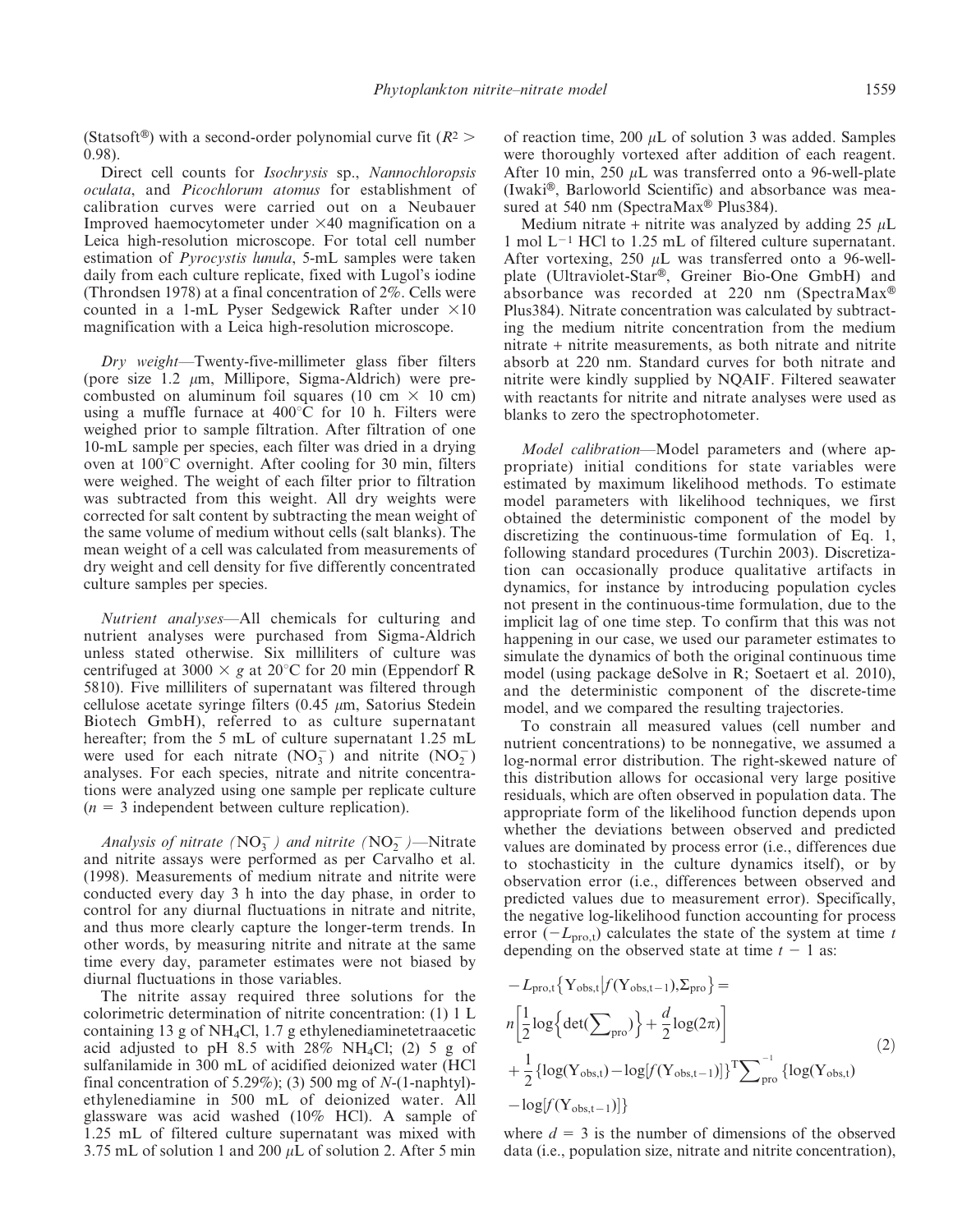(Statsoft<sup>®</sup>) with a second-order polynomial curve fit ( $R^2$  > 0.98).

Direct cell counts for Isochrysis sp., Nannochloropsis oculata, and Picochlorum atomus for establishment of calibration curves were carried out on a Neubauer Improved haemocytometer under  $\times$ 40 magnification on a Leica high-resolution microscope. For total cell number estimation of Pyrocystis lunula, 5-mL samples were taken daily from each culture replicate, fixed with Lugol's iodine (Throndsen 1978) at a final concentration of 2%. Cells were counted in a 1-mL Pyser Sedgewick Rafter under  $\times 10$ magnification with a Leica high-resolution microscope.

Dry weight—Twenty-five-millimeter glass fiber filters (pore size  $1.2 \mu m$ , Millipore, Sigma-Aldrich) were precombusted on aluminum foil squares (10 cm  $\times$  10 cm) using a muffle furnace at  $400^{\circ}$ C for 10 h. Filters were weighed prior to sample filtration. After filtration of one 10-mL sample per species, each filter was dried in a drying oven at  $100^{\circ}$ C overnight. After cooling for 30 min, filters were weighed. The weight of each filter prior to filtration was subtracted from this weight. All dry weights were corrected for salt content by subtracting the mean weight of the same volume of medium without cells (salt blanks). The mean weight of a cell was calculated from measurements of dry weight and cell density for five differently concentrated culture samples per species.

Nutrient analyses—All chemicals for culturing and nutrient analyses were purchased from Sigma-Aldrich unless stated otherwise. Six milliliters of culture was centrifuged at 3000  $\times$  g at 20 $^{\circ}$ C for 20 min (Eppendorf R 5810). Five milliliters of supernatant was filtered through cellulose acetate syringe filters  $(0.45 \mu m, 0.54)$  Satorius Stedein Biotech GmbH), referred to as culture supernatant hereafter; from the 5 mL of culture supernatant 1.25 mL were used for each nitrate  $(NO<sub>3</sub><sup>-</sup>)$  and nitrite  $(NO<sub>2</sub><sup>-</sup>)$ analyses. For each species, nitrate and nitrite concentrations were analyzed using one sample per replicate culture  $(n = 3$  independent between culture replication).

Analysis of nitrate ( $NO<sub>3</sub><sup>-</sup>$ ) and nitrite ( $NO<sub>2</sub><sup>-</sup>$ )—Nitrate and nitrite assays were performed as per Carvalho et al. (1998). Measurements of medium nitrate and nitrite were conducted every day 3 h into the day phase, in order to control for any diurnal fluctuations in nitrate and nitrite, and thus more clearly capture the longer-term trends. In other words, by measuring nitrite and nitrate at the same time every day, parameter estimates were not biased by diurnal fluctuations in those variables.

The nitrite assay required three solutions for the colorimetric determination of nitrite concentration: (1) 1 L containing 13 g of NH4Cl, 1.7 g ethylenediaminetetraacetic acid adjusted to pH 8.5 with  $28\%$  NH<sub>4</sub>Cl; (2) 5 g of sulfanilamide in 300 mL of acidified deionized water (HCl final concentration of 5.29%); (3) 500 mg of  $N-(1$ -naphtyl)ethylenediamine in 500 mL of deionized water. All glassware was acid washed (10% HCl). A sample of 1.25 mL of filtered culture supernatant was mixed with 3.75 mL of solution 1 and 200  $\mu$ L of solution 2. After 5 min

of reaction time, 200  $\mu$ L of solution 3 was added. Samples were thoroughly vortexed after addition of each reagent. After 10 min, 250  $\mu$ L was transferred onto a 96-well-plate (Iwaki®, Barloworld Scientific) and absorbance was measured at 540 nm (SpectraMax<sup>®</sup> Plus384).

Medium nitrate + nitrite was analyzed by adding 25  $\mu$ L 1 mol  $L^{-1}$  HCl to 1.25 mL of filtered culture supernatant. After vortexing, 250  $\mu$ L was transferred onto a 96-wellplate (Ultraviolet-Star®, Greiner Bio-One GmbH) and absorbance was recorded at 220 nm (SpectraMax<sup>®</sup>) Plus384). Nitrate concentration was calculated by subtracting the medium nitrite concentration from the medium nitrate + nitrite measurements, as both nitrate and nitrite absorb at 220 nm. Standard curves for both nitrate and nitrite were kindly supplied by NQAIF. Filtered seawater with reactants for nitrite and nitrate analyses were used as blanks to zero the spectrophotometer.

Model calibration—Model parameters and (where appropriate) initial conditions for state variables were estimated by maximum likelihood methods. To estimate model parameters with likelihood techniques, we first obtained the deterministic component of the model by discretizing the continuous-time formulation of Eq. 1, following standard procedures (Turchin 2003). Discretization can occasionally produce qualitative artifacts in dynamics, for instance by introducing population cycles not present in the continuous-time formulation, due to the implicit lag of one time step. To confirm that this was not happening in our case, we used our parameter estimates to simulate the dynamics of both the original continuous time model (using package deSolve in R; Soetaert et al. 2010), and the deterministic component of the discrete-time model, and we compared the resulting trajectories.

To constrain all measured values (cell number and nutrient concentrations) to be nonnegative, we assumed a log-normal error distribution. The right-skewed nature of this distribution allows for occasional very large positive residuals, which are often observed in population data. The appropriate form of the likelihood function depends upon whether the deviations between observed and predicted values are dominated by process error (i.e., differences due to stochasticity in the culture dynamics itself), or by observation error (i.e., differences between observed and predicted values due to measurement error). Specifically, the negative log-likelihood function accounting for process error  $(-L_{\text{pro,t}})$  calculates the state of the system at time t depending on the observed state at time  $t - 1$  as:

$$
-L_{\text{pro},t} \{ Y_{\text{obs},t} | f(Y_{\text{obs},t-1}), \Sigma_{\text{pro}} \} =
$$
  
\n
$$
n \left[ \frac{1}{2} \log \left\{ \det(\sum_{\text{pro}}) \right\} + \frac{d}{2} \log(2\pi) \right]
$$
  
\n
$$
+ \frac{1}{2} \left\{ \log(Y_{\text{obs},t}) - \log[f(Y_{\text{obs},t-1})] \right\}^{\text{T}} \sum_{\text{pro}}^{-1} \left\{ \log(Y_{\text{obs},t}) - \log[f(Y_{\text{obs},t-1})] \right\}
$$
\n(2)

where  $d = 3$  is the number of dimensions of the observed data (i.e., population size, nitrate and nitrite concentration),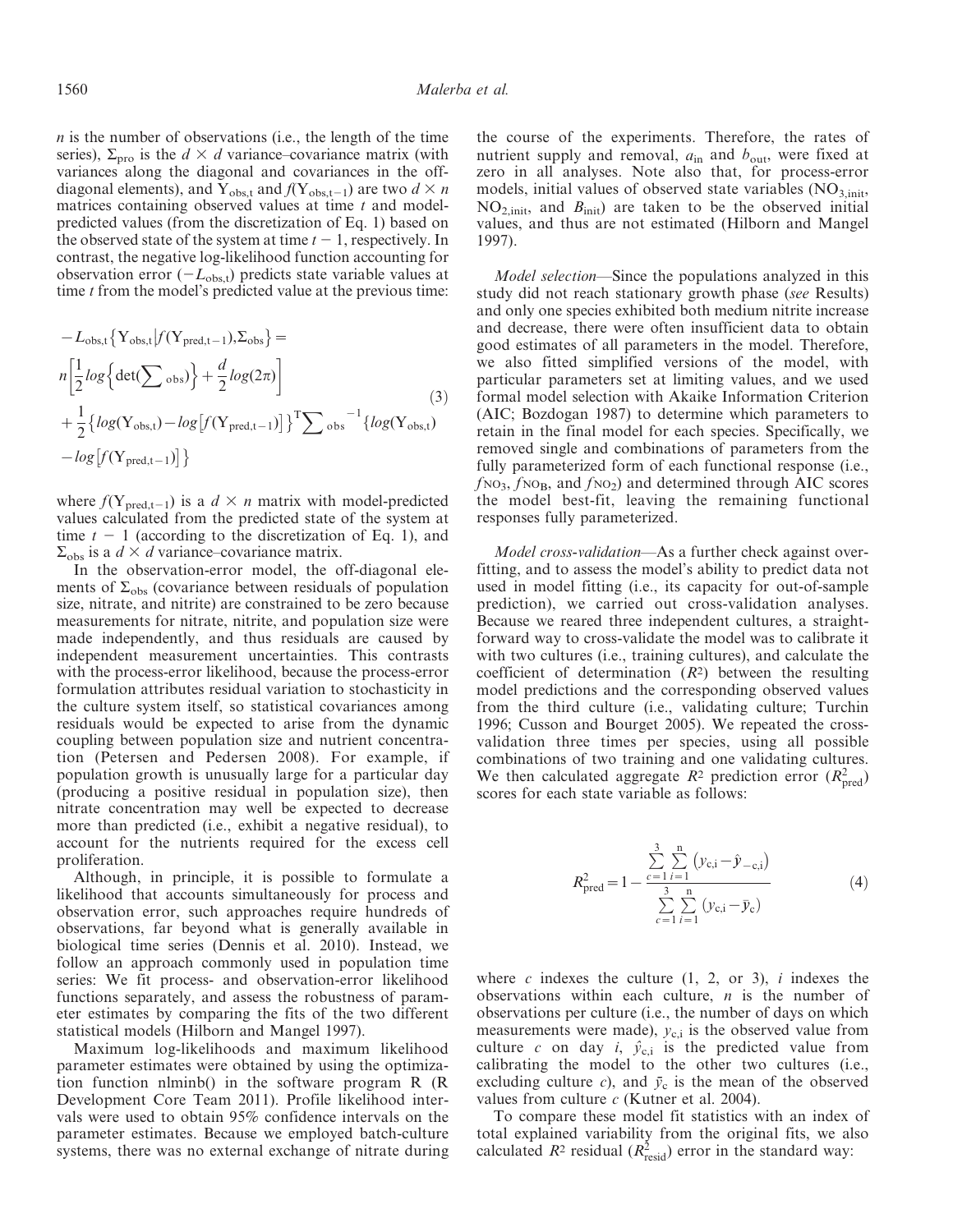$n$  is the number of observations (i.e., the length of the time series),  $\Sigma_{\text{pro}}$  is the  $d \times d$  variance–covariance matrix (with variances along the diagonal and covariances in the offdiagonal elements), and Y<sub>obs,t</sub> and  $f(Y_{obs,t-1})$  are two  $d \times n$ matrices containing observed values at time  $t$  and modelpredicted values (from the discretization of Eq. 1) based on the observed state of the system at time  $t - 1$ , respectively. In contrast, the negative log-likelihood function accounting for observation error  $(-L_{obs,t})$  predicts state variable values at time  $t$  from the model's predicted value at the previous time:

$$
-L_{\text{obs,t}}\left\{Y_{\text{obs,t}}|f(Y_{\text{pred,t-1}}),\Sigma_{\text{obs}}\right\} =
$$
  
\n
$$
n\left[\frac{1}{2}\log\left\{\det\left(\sum_{\text{obs}}\right)\right\} + \frac{d}{2}\log(2\pi)\right]
$$
  
\n
$$
+\frac{1}{2}\left\{\log(Y_{\text{obs,t}}) - \log\left[f(Y_{\text{pred,t-1}})\right]\right\}^{T}\sum_{\text{obs}}^{-1}\left\{\log(Y_{\text{obs,t}}) - \log\left[f(Y_{\text{pred,t-1}})\right]\right\}
$$
\n(3)

where  $f(Y_{pred,t-1})$  is a  $d \times n$  matrix with model-predicted values calculated from the predicted state of the system at time  $t - 1$  (according to the discretization of Eq. 1), and  $\Sigma_{\rm obs}$  is a  $d \times d$  variance–covariance matrix.

In the observation-error model, the off-diagonal elements of  $\Sigma_{obs}$  (covariance between residuals of population size, nitrate, and nitrite) are constrained to be zero because measurements for nitrate, nitrite, and population size were made independently, and thus residuals are caused by independent measurement uncertainties. This contrasts with the process-error likelihood, because the process-error formulation attributes residual variation to stochasticity in the culture system itself, so statistical covariances among residuals would be expected to arise from the dynamic coupling between population size and nutrient concentration (Petersen and Pedersen 2008). For example, if population growth is unusually large for a particular day (producing a positive residual in population size), then nitrate concentration may well be expected to decrease more than predicted (i.e., exhibit a negative residual), to account for the nutrients required for the excess cell proliferation.

Although, in principle, it is possible to formulate a likelihood that accounts simultaneously for process and observation error, such approaches require hundreds of observations, far beyond what is generally available in biological time series (Dennis et al. 2010). Instead, we follow an approach commonly used in population time series: We fit process- and observation-error likelihood functions separately, and assess the robustness of parameter estimates by comparing the fits of the two different statistical models (Hilborn and Mangel 1997).

Maximum log-likelihoods and maximum likelihood parameter estimates were obtained by using the optimization function nlminb() in the software program R (R Development Core Team 2011). Profile likelihood intervals were used to obtain 95% confidence intervals on the parameter estimates. Because we employed batch-culture systems, there was no external exchange of nitrate during the course of the experiments. Therefore, the rates of nutrient supply and removal,  $a_{in}$  and  $b_{out}$ , were fixed at zero in all analyses. Note also that, for process-error models, initial values of observed state variables  $(NO<sub>3,init</sub>)$  $NO<sub>2,init</sub>$ , and  $B<sub>init</sub>$ ) are taken to be the observed initial values, and thus are not estimated (Hilborn and Mangel 1997).

Model selection—Since the populations analyzed in this study did not reach stationary growth phase (see Results) and only one species exhibited both medium nitrite increase and decrease, there were often insufficient data to obtain good estimates of all parameters in the model. Therefore, we also fitted simplified versions of the model, with particular parameters set at limiting values, and we used formal model selection with Akaike Information Criterion (AIC; Bozdogan 1987) to determine which parameters to retain in the final model for each species. Specifically, we removed single and combinations of parameters from the fully parameterized form of each functional response (i.e.,  $f_{NO_3}$ ,  $f_{NO_B}$ , and  $f_{NO_2}$ ) and determined through AIC scores the model best-fit, leaving the remaining functional responses fully parameterized.

Model cross-validation—As a further check against overfitting, and to assess the model's ability to predict data not used in model fitting (i.e., its capacity for out-of-sample prediction), we carried out cross-validation analyses. Because we reared three independent cultures, a straightforward way to cross-validate the model was to calibrate it with two cultures (i.e., training cultures), and calculate the coefficient of determination  $(R^2)$  between the resulting model predictions and the corresponding observed values from the third culture (i.e., validating culture; Turchin 1996; Cusson and Bourget 2005). We repeated the crossvalidation three times per species, using all possible combinations of two training and one validating cultures. We then calculated aggregate  $R^2$  prediction error  $(R_{pred}^2)$ scores for each state variable as follows:

$$
R_{\text{pred}}^{2} = 1 - \frac{\sum_{c=1}^{3} \sum_{i=1}^{n} (y_{c,i} - \hat{y}_{-c,i})}{\sum_{c=1}^{3} \sum_{i=1}^{n} (y_{c,i} - \bar{y}_{c})}
$$
(4)

where  $c$  indexes the culture  $(1, 2, \text{or } 3)$ , i indexes the observations within each culture,  $n$  is the number of observations per culture (i.e., the number of days on which measurements were made),  $y_{c,i}$  is the observed value from culture c on day i,  $\hat{y}_{c,i}$  is the predicted value from calibrating the model to the other two cultures (i.e., excluding culture c), and  $\bar{y}_c$  is the mean of the observed values from culture  $c$  (Kutner et al. 2004).

To compare these model fit statistics with an index of total explained variability from the original fits, we also calculated  $R^2$  residual  $(R_{\text{resid}}^2)$  error in the standard way: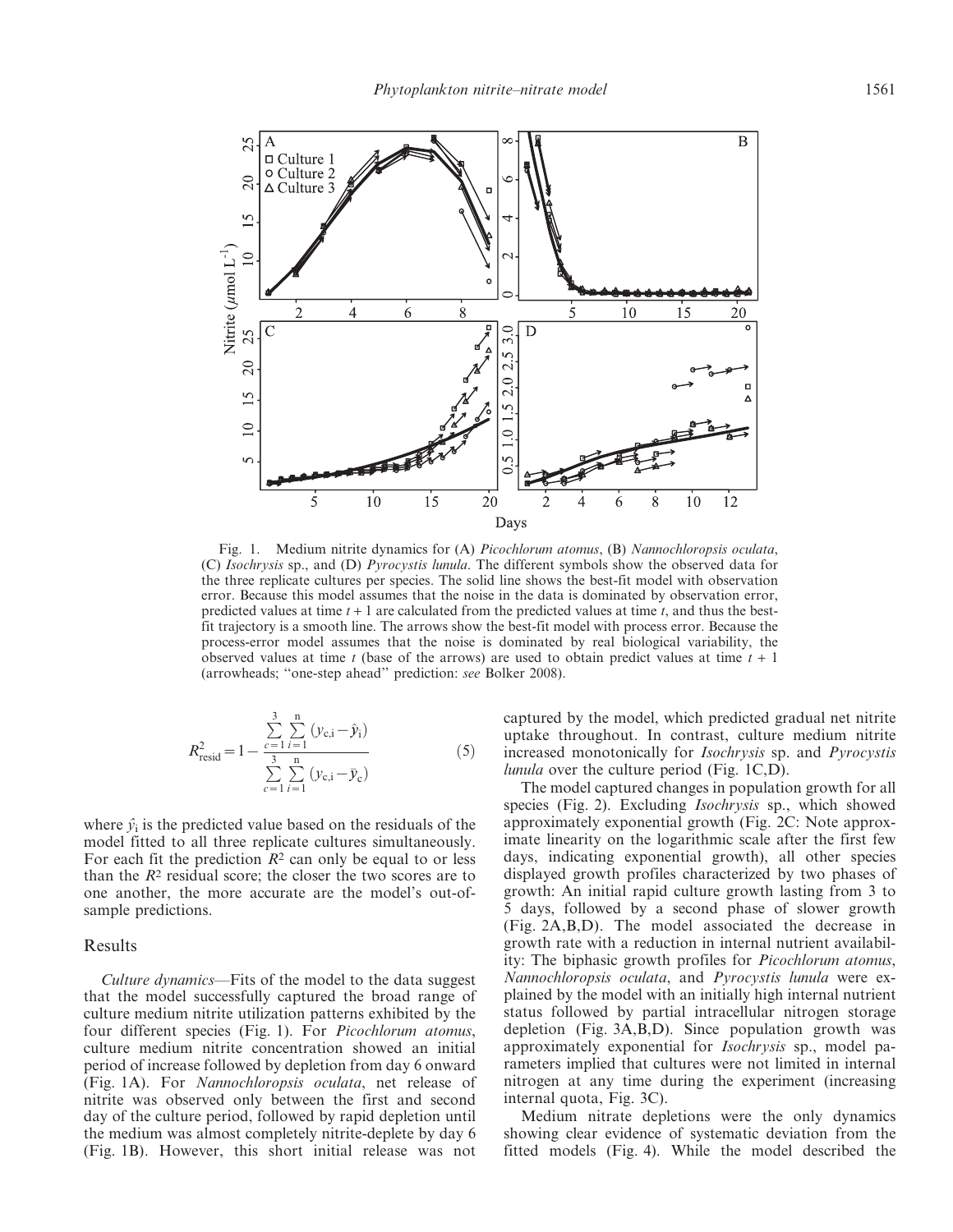

Fig. 1. Medium nitrite dynamics for (A) Picochlorum atomus, (B) Nannochloropsis oculata, (C) Isochrysis sp., and (D) Pyrocystis lunula. The different symbols show the observed data for the three replicate cultures per species. The solid line shows the best-fit model with observation error. Because this model assumes that the noise in the data is dominated by observation error, predicted values at time  $t + 1$  are calculated from the predicted values at time  $t$ , and thus the bestfit trajectory is a smooth line. The arrows show the best-fit model with process error. Because the process-error model assumes that the noise is dominated by real biological variability, the observed values at time t (base of the arrows) are used to obtain predict values at time  $t + 1$ (arrowheads; ''one-step ahead'' prediction: see Bolker 2008).

$$
R_{\text{resid}}^2 = 1 - \frac{\sum_{c=1}^3 \sum_{i=1}^n (y_{c,i} - \hat{y}_i)}{\sum_{c=1}^3 \sum_{i=1}^n (y_{c,i} - \bar{y}_c)}
$$
(5)

where  $\hat{v}_i$  is the predicted value based on the residuals of the model fitted to all three replicate cultures simultaneously. For each fit the prediction  $R^2$  can only be equal to or less than the  $R<sup>2</sup>$  residual score; the closer the two scores are to one another, the more accurate are the model's out-ofsample predictions.

### Results

Culture dynamics—Fits of the model to the data suggest that the model successfully captured the broad range of culture medium nitrite utilization patterns exhibited by the four different species (Fig. 1). For *Picochlorum atomus*, culture medium nitrite concentration showed an initial period of increase followed by depletion from day 6 onward (Fig. 1A). For Nannochloropsis oculata, net release of nitrite was observed only between the first and second day of the culture period, followed by rapid depletion until the medium was almost completely nitrite-deplete by day 6 (Fig. 1B). However, this short initial release was not captured by the model, which predicted gradual net nitrite uptake throughout. In contrast, culture medium nitrite increased monotonically for Isochrysis sp. and Pyrocystis lunula over the culture period (Fig. 1C,D).

The model captured changes in population growth for all species (Fig. 2). Excluding *Isochrysis* sp., which showed approximately exponential growth (Fig. 2C: Note approximate linearity on the logarithmic scale after the first few days, indicating exponential growth), all other species displayed growth profiles characterized by two phases of growth: An initial rapid culture growth lasting from 3 to 5 days, followed by a second phase of slower growth (Fig. 2A,B,D). The model associated the decrease in growth rate with a reduction in internal nutrient availability: The biphasic growth profiles for Picochlorum atomus, Nannochloropsis oculata, and Pyrocystis lunula were explained by the model with an initially high internal nutrient status followed by partial intracellular nitrogen storage depletion (Fig. 3A,B,D). Since population growth was approximately exponential for Isochrysis sp., model parameters implied that cultures were not limited in internal nitrogen at any time during the experiment (increasing internal quota, Fig. 3C).

Medium nitrate depletions were the only dynamics showing clear evidence of systematic deviation from the fitted models (Fig. 4). While the model described the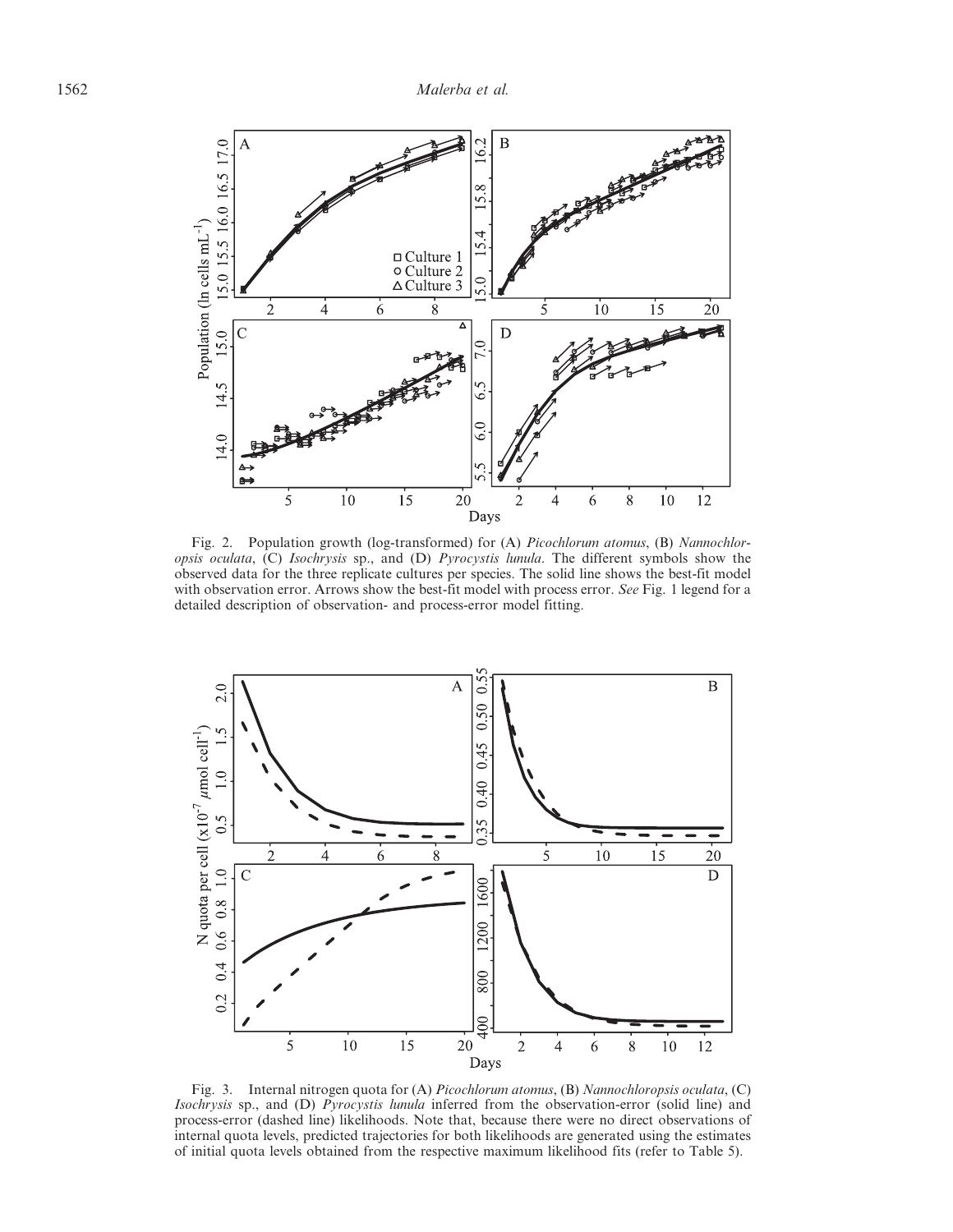

Fig. 2. Population growth (log-transformed) for (A) *Picochlorum atomus*, (B) *Nannochlor*opsis oculata, (C) Isochrysis sp., and (D) Pyrocystis lunula. The different symbols show the observed data for the three replicate cultures per species. The solid line shows the best-fit model with observation error. Arrows show the best-fit model with process error. See Fig. 1 legend for a detailed description of observation- and process-error model fitting.



Fig. 3. Internal nitrogen quota for (A) Picochlorum atomus, (B) Nannochloropsis oculata, (C) Isochrysis sp., and (D) Pyrocystis lunula inferred from the observation-error (solid line) and process-error (dashed line) likelihoods. Note that, because there were no direct observations of internal quota levels, predicted trajectories for both likelihoods are generated using the estimates of initial quota levels obtained from the respective maximum likelihood fits (refer to Table 5).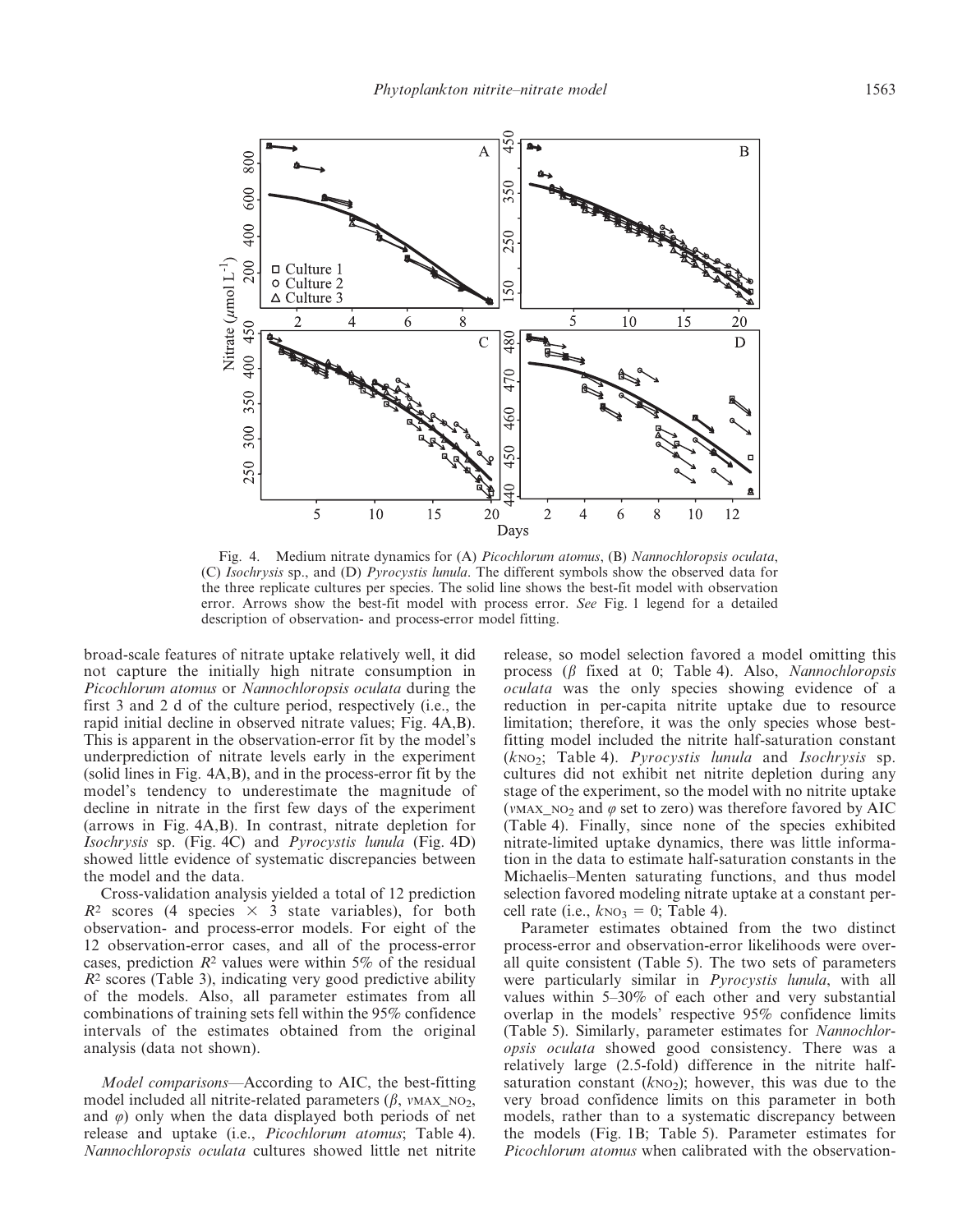

Fig. 4. Medium nitrate dynamics for (A) Picochlorum atomus, (B) Nannochloropsis oculata, (C) Isochrysis sp., and (D) Pyrocystis lunula. The different symbols show the observed data for the three replicate cultures per species. The solid line shows the best-fit model with observation error. Arrows show the best-fit model with process error. See Fig. 1 legend for a detailed description of observation- and process-error model fitting.

broad-scale features of nitrate uptake relatively well, it did not capture the initially high nitrate consumption in Picochlorum atomus or Nannochloropsis oculata during the first 3 and 2 d of the culture period, respectively (i.e., the rapid initial decline in observed nitrate values; Fig. 4A,B). This is apparent in the observation-error fit by the model's underprediction of nitrate levels early in the experiment (solid lines in Fig. 4A,B), and in the process-error fit by the model's tendency to underestimate the magnitude of decline in nitrate in the first few days of the experiment (arrows in Fig. 4A,B). In contrast, nitrate depletion for Isochrysis sp. (Fig. 4C) and Pyrocystis lunula (Fig. 4D) showed little evidence of systematic discrepancies between the model and the data.

Cross-validation analysis yielded a total of 12 prediction  $R<sup>2</sup>$  scores (4 species  $\times$  3 state variables), for both observation- and process-error models. For eight of the 12 observation-error cases, and all of the process-error cases, prediction  $R^2$  values were within 5% of the residual  $R<sup>2</sup>$  scores (Table 3), indicating very good predictive ability of the models. Also, all parameter estimates from all combinations of training sets fell within the 95% confidence intervals of the estimates obtained from the original analysis (data not shown).

Model comparisons—According to AIC, the best-fitting model included all nitrite-related parameters  $(\beta, v_{MAX} \, \text{no}_2)$ , and  $\varphi$ ) only when the data displayed both periods of net release and uptake (i.e., Picochlorum atomus; Table 4). Nannochloropsis oculata cultures showed little net nitrite

release, so model selection favored a model omitting this process  $(\beta$  fixed at 0; Table 4). Also, Nannochloropsis oculata was the only species showing evidence of a reduction in per-capita nitrite uptake due to resource limitation; therefore, it was the only species whose bestfitting model included the nitrite half-saturation constant  $(kNO<sub>2</sub>; Table 4)$ . *Pyrocystis lunula* and *Isochrysis* sp. cultures did not exhibit net nitrite depletion during any stage of the experiment, so the model with no nitrite uptake (VMAX, NO<sub>2</sub> and  $\varphi$  set to zero) was therefore favored by AIC (Table 4). Finally, since none of the species exhibited nitrate-limited uptake dynamics, there was little information in the data to estimate half-saturation constants in the Michaelis–Menten saturating functions, and thus model selection favored modeling nitrate uptake at a constant percell rate (i.e.,  $k_{NO_3} = 0$ ; Table 4).

Parameter estimates obtained from the two distinct process-error and observation-error likelihoods were overall quite consistent (Table 5). The two sets of parameters were particularly similar in *Pyrocystis lunula*, with all values within 5–30% of each other and very substantial overlap in the models' respective 95% confidence limits (Table 5). Similarly, parameter estimates for Nannochloropsis oculata showed good consistency. There was a relatively large (2.5-fold) difference in the nitrite halfsaturation constant  $(k_{NO_2})$ ; however, this was due to the very broad confidence limits on this parameter in both models, rather than to a systematic discrepancy between the models (Fig. 1B; Table 5). Parameter estimates for Picochlorum atomus when calibrated with the observation-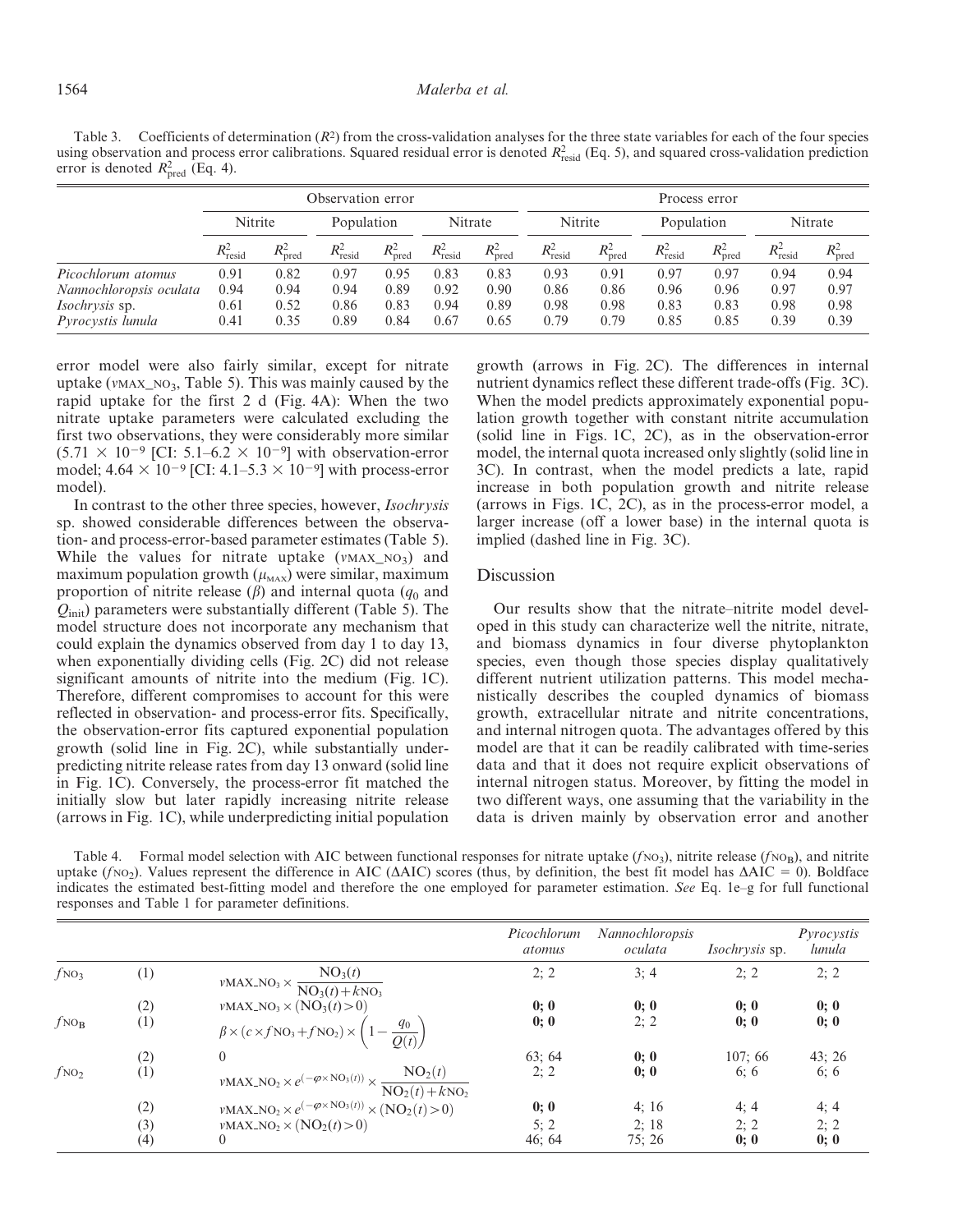Table 3. Coefficients of determination  $(R^2)$  from the cross-validation analyses for the three state variables for each of the four species using observation and process error calibrations. Squared residual error is denoted  $R_{\text{resid}}^2$  (Eq. 5), and squared cross-validation prediction error is denoted  $R_{\text{pred}}^2$  (Eq. 4).

|                                                                                             | Observation error            |                              |                              |                              | Process error                |                              |                              |                              |                              |                              |                              |                              |
|---------------------------------------------------------------------------------------------|------------------------------|------------------------------|------------------------------|------------------------------|------------------------------|------------------------------|------------------------------|------------------------------|------------------------------|------------------------------|------------------------------|------------------------------|
|                                                                                             | Nitrite                      |                              | Population                   |                              | Nitrate                      |                              | Nitrite                      |                              | Population                   |                              | Nitrate                      |                              |
|                                                                                             | $R_{\text{resid}}^2$         | $R^2_{\text{pred}}$          | $R_{\text{resid}}^2$         | $R^2_{\text{pred}}$          | $R_{\text{resid}}^2$         | $R_{\text{pred}}^2$          | $R_{\text{resid}}^2$         | $R_{\text{pred}}^2$          | $R_{\text{resid}}^2$         | $R^2_{\text{pred}}$          | $R^2_{\text{resid}}$         | $R_{\text{pred}}^2$          |
| Picochlorum atomus<br>Nannochloropsis oculata<br><i>Isochrysis</i> sp.<br>Pyrocystis lunula | 0.91<br>0.94<br>0.61<br>0.41 | 0.82<br>0.94<br>0.52<br>0.35 | 0.97<br>0.94<br>0.86<br>0.89 | 0.95<br>0.89<br>0.83<br>0.84 | 0.83<br>0.92<br>0.94<br>0.67 | 0.83<br>0.90<br>0.89<br>0.65 | 0.93<br>0.86<br>0.98<br>0.79 | 0.91<br>0.86<br>0.98<br>0.79 | 0.97<br>0.96<br>0.83<br>0.85 | 0.97<br>0.96<br>0.83<br>0.85 | 0.94<br>0.97<br>0.98<br>0.39 | 0.94<br>0.97<br>0.98<br>0.39 |

error model were also fairly similar, except for nitrate uptake ( $v$ MAX\_NO<sub>3</sub>, Table 5). This was mainly caused by the rapid uptake for the first 2 d (Fig. 4A): When the two nitrate uptake parameters were calculated excluding the first two observations, they were considerably more similar  $(5.71 \times 10^{-9}$  [CI: 5.1–6.2  $\times$  10<sup>-9</sup>] with observation-error model;  $4.64 \times 10^{-9}$  [CI:  $4.1-5.3 \times 10^{-9}$ ] with process-error model).

In contrast to the other three species, however, Isochrysis sp. showed considerable differences between the observation- and process-error-based parameter estimates (Table 5). While the values for nitrate uptake  $(v_{MAX}\_NO_3)$  and maximum population growth  $(\mu_{\text{max}})$  were similar, maximum proportion of nitrite release  $(\beta)$  and internal quota  $(q_0$  and  $Q<sub>init</sub>$ ) parameters were substantially different (Table 5). The model structure does not incorporate any mechanism that could explain the dynamics observed from day 1 to day 13, when exponentially dividing cells (Fig. 2C) did not release significant amounts of nitrite into the medium (Fig. 1C). Therefore, different compromises to account for this were reflected in observation- and process-error fits. Specifically, the observation-error fits captured exponential population growth (solid line in Fig. 2C), while substantially underpredicting nitrite release rates from day 13 onward (solid line in Fig. 1C). Conversely, the process-error fit matched the initially slow but later rapidly increasing nitrite release (arrows in Fig. 1C), while underpredicting initial population

growth (arrows in Fig. 2C). The differences in internal nutrient dynamics reflect these different trade-offs (Fig. 3C). When the model predicts approximately exponential population growth together with constant nitrite accumulation (solid line in Figs. 1C, 2C), as in the observation-error model, the internal quota increased only slightly (solid line in 3C). In contrast, when the model predicts a late, rapid increase in both population growth and nitrite release (arrows in Figs. 1C, 2C), as in the process-error model, a larger increase (off a lower base) in the internal quota is implied (dashed line in Fig. 3C).

# Discussion

Our results show that the nitrate–nitrite model developed in this study can characterize well the nitrite, nitrate, and biomass dynamics in four diverse phytoplankton species, even though those species display qualitatively different nutrient utilization patterns. This model mechanistically describes the coupled dynamics of biomass growth, extracellular nitrate and nitrite concentrations, and internal nitrogen quota. The advantages offered by this model are that it can be readily calibrated with time-series data and that it does not require explicit observations of internal nitrogen status. Moreover, by fitting the model in two different ways, one assuming that the variability in the data is driven mainly by observation error and another

Table 4. Formal model selection with AIC between functional responses for nitrate uptake  $(f \circ \circ_3)$ , nitrite release  $(f \circ \circ_B)$ , and nitrite uptake ( $fNO<sub>2</sub>$ ). Values represent the difference in AIC ( $\Delta AIC$ ) scores (thus, by definition, the best fit model has  $\Delta AIC = 0$ ). Boldface indicates the estimated best-fitting model and therefore the one employed for parameter estimation. See Eq. 1e–g for full functional responses and Table 1 for parameter definitions.

|                   |     |                                                                                                                               | Picochlorum<br>atomus | <b>Nannochloropsis</b><br>oculata | <i>Isochrysis</i> sp. | Pyrocystis<br>lunula |
|-------------------|-----|-------------------------------------------------------------------------------------------------------------------------------|-----------------------|-----------------------------------|-----------------------|----------------------|
| $f_{NO_3}$        | (1) | $v\text{MAX}\_\text{NO}_3 \times \frac{\text{NO}_3(t)}{\text{NO}_3(t) + k\text{NO}_3}$                                        | 2; 2                  | 3; 4                              | 2:2                   | 2; 2                 |
|                   | (2) | $\nu$ MAX_NO <sub>3</sub> $\times$ (NO <sub>3</sub> (t) > 0)                                                                  | 0;0                   | 0;0                               | 0;0                   | 0;0                  |
| $f_{\text{NO}_B}$ | (1) | $\beta \times (c \times f_{\text{NO}_3} + f_{\text{NO}_2}) \times \left(1 - \frac{q_0}{Q(t)}\right)$                          | 0;0                   | 2; 2                              | 0:0                   | 0;0                  |
|                   | (2) | $\theta$                                                                                                                      | 63:64                 | 0:0                               | 107:66                | 43; 26               |
| $f_{\rm NO_2}$    | (1) | $\texttt{vMAX\_NO}_2 \times e^{(-\varphi \times \text{NO}_3(t))} \times \frac{\text{NO}_2(t)}{\text{NO}_2(t) + k\text{NO}_2}$ | 2; 2                  | 0:0                               | 6:6                   | 6; 6                 |
|                   | (2) | $\nu$ MAX_NO <sub>2</sub> $\times e^{(-\varphi \times NO_3(t))} \times (NO_2(t) > 0)$                                         | 0;0                   | 4:16                              | 4:4                   | 4; 4                 |
|                   | (3) | $v\text{MAX} \_\text{NO}_2 \times (\text{NO}_2(t) > 0)$                                                                       | 5; 2                  | 2:18                              | 2; 2                  | 2; 2                 |
|                   | (4) | $\theta$                                                                                                                      | 46:64                 | 75:26                             | 0:0                   | 0;0                  |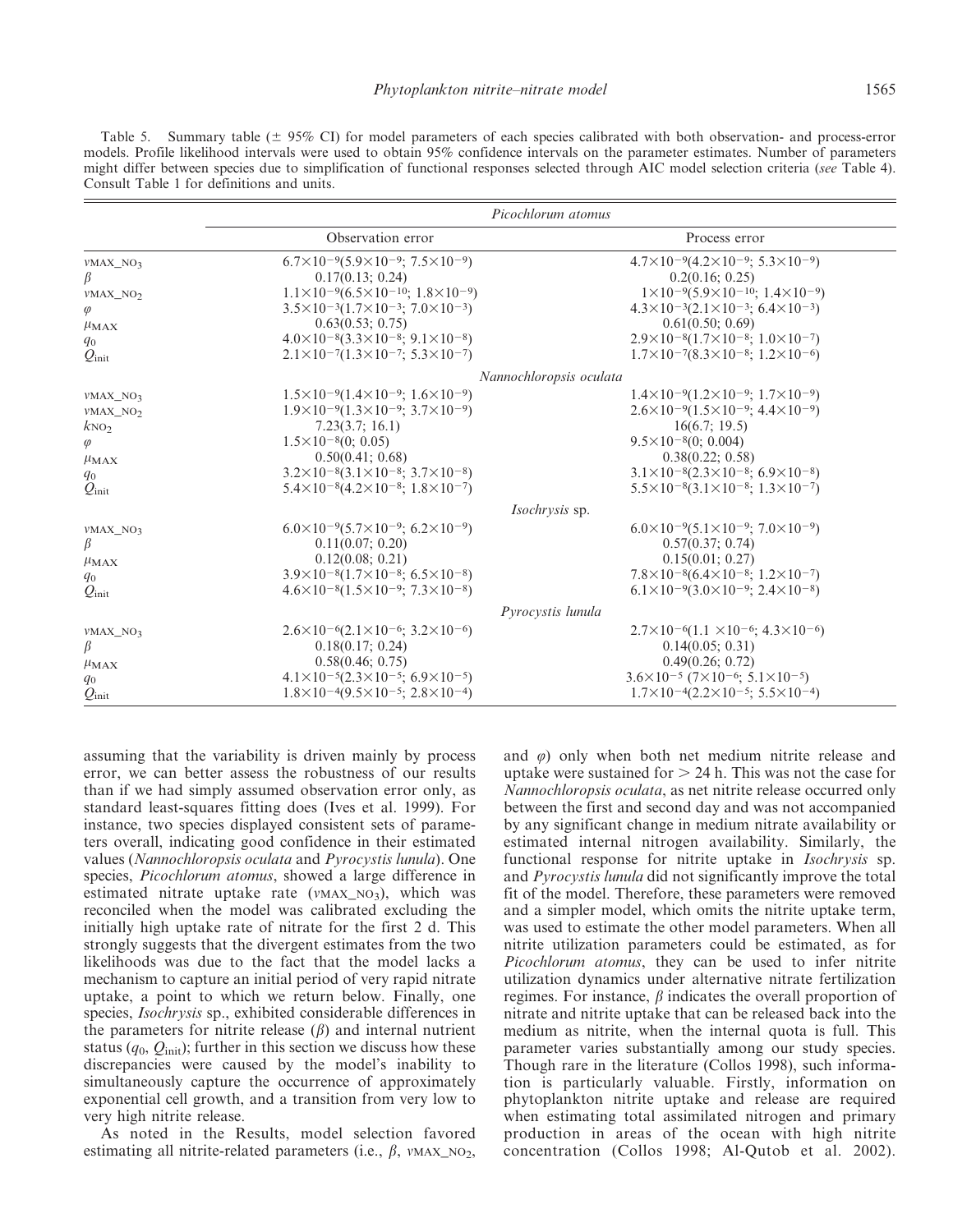|                      | Picochlorum atomus                                             |                                                                 |  |  |  |  |  |
|----------------------|----------------------------------------------------------------|-----------------------------------------------------------------|--|--|--|--|--|
|                      | Observation error                                              | Process error                                                   |  |  |  |  |  |
| $VMAX_NO_3$          | $6.7\times10^{-9}(5.9\times10^{-9}; 7.5\times10^{-9})$         | $4.7\times10^{-9}(4.2\times10^{-9}; 5.3\times10^{-9})$          |  |  |  |  |  |
| β                    | 0.17(0.13; 0.24)                                               | 0.2(0.16; 0.25)                                                 |  |  |  |  |  |
| VMAX_NO <sub>2</sub> | $1.1\times10^{-9}(6.5\times10^{-10}; 1.8\times10^{-9})$        | $1\times10^{-9}(5.9\times10^{-10}; 1.4\times10^{-9})$           |  |  |  |  |  |
| $\varphi$            | $3.5\times10^{-3}(1.7\times10^{-3}; 7.0\times10^{-3})$         | $4.3\times10^{-3}(2.1\times10^{-3}; 6.4\times10^{-3})$          |  |  |  |  |  |
| $\mu_{MAX}$          | 0.63(0.53; 0.75)                                               | 0.61(0.50; 0.69)                                                |  |  |  |  |  |
| $q_0$                | $4.0\times10^{-8}(3.3\times10^{-8}; 9.1\times10^{-8})$         | $2.9\times10^{-8}(1.7\times10^{-8}; 1.0\times10^{-7})$          |  |  |  |  |  |
| $Q_{\rm init}$       | $2.1\times10^{-7}(1.3\times10^{-7}; 5.3\times10^{-7})$         | $1.7\times10^{-7}(8.3\times10^{-8}; 1.2\times10^{-6})$          |  |  |  |  |  |
|                      | Nannochloropsis oculata                                        |                                                                 |  |  |  |  |  |
| $VMAX_NO_3$          | $1.5\times10^{-9}(1.4\times10^{-9}; 1.6\times10^{-9})$         | $1.4\times10^{-9}(1.2\times10^{-9}; 1.7\times10^{-9})$          |  |  |  |  |  |
| VMAX_NO <sub>2</sub> | $1.9\times10^{-9}(1.3\times10^{-9}; 3.7\times10^{-9})$         | $2.6\times10^{-9}(1.5\times10^{-9}; 4.4\times10^{-9})$          |  |  |  |  |  |
| $k\text{NO}_2$       | 7.23(3.7; 16.1)                                                | 16(6.7; 19.5)                                                   |  |  |  |  |  |
| $\varphi$            | $1.5 \times 10^{-8} (0; 0.05)$                                 | $9.5 \times 10^{-8} (0; 0.004)$                                 |  |  |  |  |  |
| $\mu_{MAX}$          | 0.50(0.41; 0.68)                                               | 0.38(0.22; 0.58)                                                |  |  |  |  |  |
| $q_0$                | $3.2\times10^{-8}(3.1\times10^{-8}; 3.7\times10^{-8})$         | $3.1\times10^{-8}(2.3\times10^{-8}; 6.9\times10^{-8})$          |  |  |  |  |  |
| $Q_{\rm init}$       | $5.4\times10^{-8}(4.2\times10^{-8}; 1.8\times10^{-7})$         | $5.5 \times 10^{-8} (3.1 \times 10^{-8}; 1.3 \times 10^{-7})$   |  |  |  |  |  |
|                      | <i>Isochrysis</i> sp.                                          |                                                                 |  |  |  |  |  |
| VMAX_NO3             | $6.0\times10^{-9}(5.7\times10^{-9}; 6.2\times10^{-9})$         | $6.0\times10^{-9}(5.1\times10^{-9}; 7.0\times10^{-9})$          |  |  |  |  |  |
| β                    | 0.11(0.07; 0.20)                                               | 0.57(0.37; 0.74)                                                |  |  |  |  |  |
| $\mu_{MAX}$          | 0.12(0.08; 0.21)                                               | 0.15(0.01; 0.27)                                                |  |  |  |  |  |
| $q_0$                | $3.9\times10^{-8}(1.7\times10^{-8}; 6.5\times10^{-8})$         | $7.8\times10^{-8}(6.4\times10^{-8}; 1.2\times10^{-7})$          |  |  |  |  |  |
| $Q_{\rm init}$       | $4.6\times10^{-8}(1.5\times10^{-9}; 7.3\times10^{-8})$         | $6.1\times10^{-9}(3.0\times10^{-9}; 2.4\times10^{-8})$          |  |  |  |  |  |
|                      | Pyrocystis lunula                                              |                                                                 |  |  |  |  |  |
| VMAX_NO3             | $2.6 \times 10^{-6} (2.1 \times 10^{-6} ; 3.2 \times 10^{-6})$ | $2.7\times10^{-6}(1.1\times10^{-6}; 4.3\times10^{-6})$          |  |  |  |  |  |
| β                    | 0.18(0.17; 0.24)                                               | 0.14(0.05; 0.31)                                                |  |  |  |  |  |
| $\mu_{MAX}$          | 0.58(0.46; 0.75)                                               | 0.49(0.26; 0.72)                                                |  |  |  |  |  |
| $q_0$                | $4.1\times10^{-5}(2.3\times10^{-5}; 6.9\times10^{-5})$         | $3.6\times10^{-5}$ (7×10 <sup>-6</sup> ; 5.1×10 <sup>-5</sup> ) |  |  |  |  |  |
| $Q_{\rm init}$       | $1.8\times10^{-4}(9.5\times10^{-5}; 2.8\times10^{-4})$         | $1.7\times10^{-4}(2.2\times10^{-5}; 5.5\times10^{-4})$          |  |  |  |  |  |

Table 5. Summary table  $(\pm 95\% \text{ CI})$  for model parameters of each species calibrated with both observation- and process-error models. Profile likelihood intervals were used to obtain 95% confidence intervals on the parameter estimates. Number of parameters might differ between species due to simplification of functional responses selected through AIC model selection criteria (see Table 4). Consult Table 1 for definitions and units.

assuming that the variability is driven mainly by process error, we can better assess the robustness of our results than if we had simply assumed observation error only, as standard least-squares fitting does (Ives et al. 1999). For instance, two species displayed consistent sets of parameters overall, indicating good confidence in their estimated values (Nannochloropsis oculata and Pyrocystis lunula). One species, Picochlorum atomus, showed a large difference in estimated nitrate uptake rate ( $v$ MAX\_NO<sub>3</sub>), which was reconciled when the model was calibrated excluding the initially high uptake rate of nitrate for the first 2 d. This strongly suggests that the divergent estimates from the two likelihoods was due to the fact that the model lacks a mechanism to capture an initial period of very rapid nitrate uptake, a point to which we return below. Finally, one species, Isochrysis sp., exhibited considerable differences in the parameters for nitrite release  $(\beta)$  and internal nutrient status  $(q_0, Q_{init})$ ; further in this section we discuss how these discrepancies were caused by the model's inability to simultaneously capture the occurrence of approximately exponential cell growth, and a transition from very low to very high nitrite release.

As noted in the Results, model selection favored estimating all nitrite-related parameters (i.e.,  $\beta$ , vMAX\_NO<sub>2</sub>, and  $\varphi$ ) only when both net medium nitrite release and uptake were sustained for  $> 24$  h. This was not the case for Nannochloropsis oculata, as net nitrite release occurred only between the first and second day and was not accompanied by any significant change in medium nitrate availability or estimated internal nitrogen availability. Similarly, the functional response for nitrite uptake in *Isochrysis* sp. and Pyrocystis lunula did not significantly improve the total fit of the model. Therefore, these parameters were removed and a simpler model, which omits the nitrite uptake term, was used to estimate the other model parameters. When all nitrite utilization parameters could be estimated, as for Picochlorum atomus, they can be used to infer nitrite utilization dynamics under alternative nitrate fertilization regimes. For instance,  $\beta$  indicates the overall proportion of nitrate and nitrite uptake that can be released back into the medium as nitrite, when the internal quota is full. This parameter varies substantially among our study species. Though rare in the literature (Collos 1998), such information is particularly valuable. Firstly, information on phytoplankton nitrite uptake and release are required when estimating total assimilated nitrogen and primary production in areas of the ocean with high nitrite concentration (Collos 1998; Al-Qutob et al. 2002).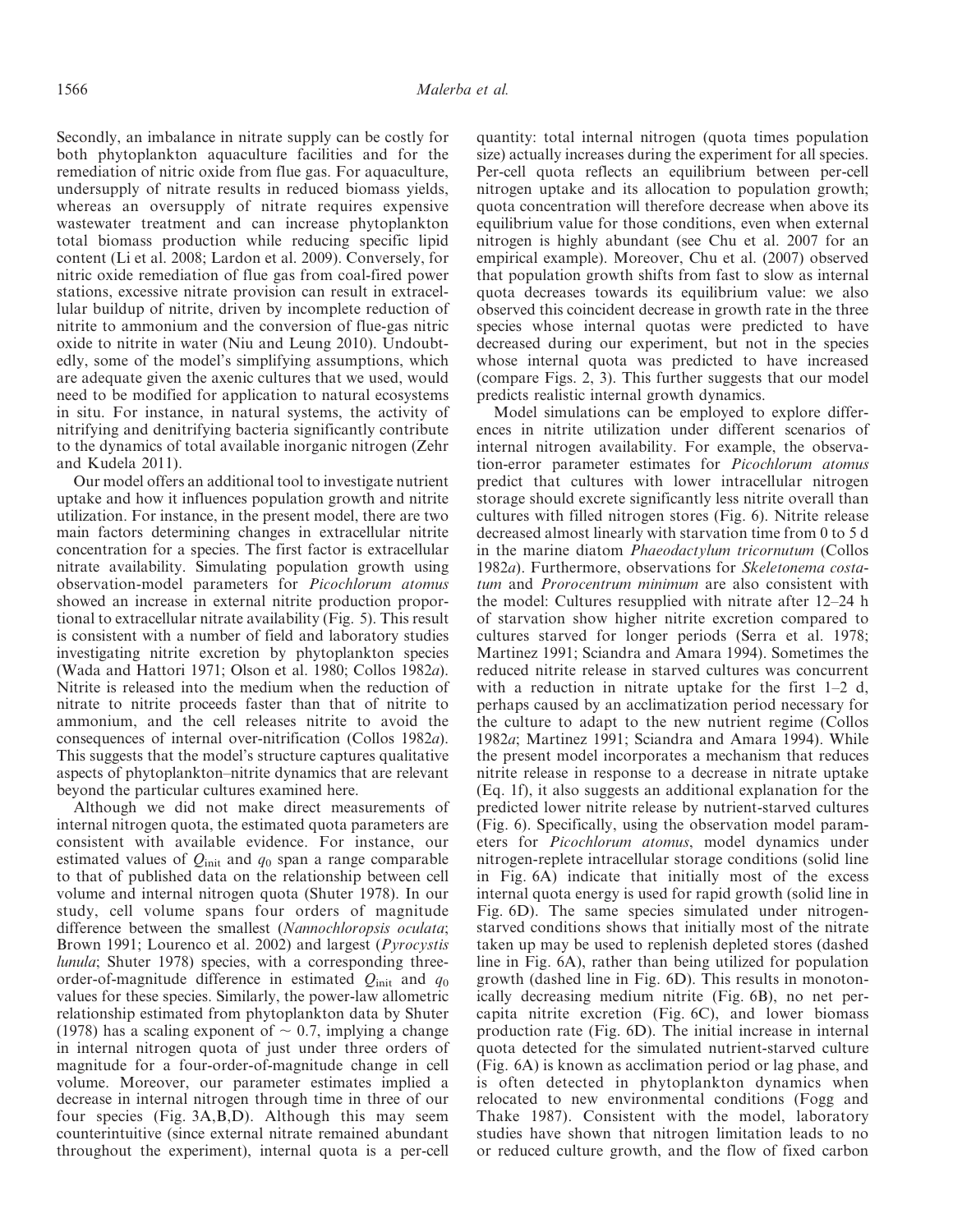Secondly, an imbalance in nitrate supply can be costly for both phytoplankton aquaculture facilities and for the remediation of nitric oxide from flue gas. For aquaculture, undersupply of nitrate results in reduced biomass yields, whereas an oversupply of nitrate requires expensive wastewater treatment and can increase phytoplankton total biomass production while reducing specific lipid content (Li et al. 2008; Lardon et al. 2009). Conversely, for nitric oxide remediation of flue gas from coal-fired power stations, excessive nitrate provision can result in extracellular buildup of nitrite, driven by incomplete reduction of nitrite to ammonium and the conversion of flue-gas nitric oxide to nitrite in water (Niu and Leung 2010). Undoubtedly, some of the model's simplifying assumptions, which are adequate given the axenic cultures that we used, would need to be modified for application to natural ecosystems in situ. For instance, in natural systems, the activity of nitrifying and denitrifying bacteria significantly contribute to the dynamics of total available inorganic nitrogen (Zehr and Kudela 2011).

Our model offers an additional tool to investigate nutrient uptake and how it influences population growth and nitrite utilization. For instance, in the present model, there are two main factors determining changes in extracellular nitrite concentration for a species. The first factor is extracellular nitrate availability. Simulating population growth using observation-model parameters for Picochlorum atomus showed an increase in external nitrite production proportional to extracellular nitrate availability (Fig. 5). This result is consistent with a number of field and laboratory studies investigating nitrite excretion by phytoplankton species (Wada and Hattori 1971; Olson et al. 1980; Collos 1982a). Nitrite is released into the medium when the reduction of nitrate to nitrite proceeds faster than that of nitrite to ammonium, and the cell releases nitrite to avoid the consequences of internal over-nitrification (Collos 1982a). This suggests that the model's structure captures qualitative aspects of phytoplankton–nitrite dynamics that are relevant beyond the particular cultures examined here.

Although we did not make direct measurements of internal nitrogen quota, the estimated quota parameters are consistent with available evidence. For instance, our estimated values of  $Q<sub>init</sub>$  and  $q<sub>0</sub>$  span a range comparable to that of published data on the relationship between cell volume and internal nitrogen quota (Shuter 1978). In our study, cell volume spans four orders of magnitude difference between the smallest (Nannochloropsis oculata; Brown 1991; Lourenco et al. 2002) and largest (*Pyrocystis* lunula; Shuter 1978) species, with a corresponding threeorder-of-magnitude difference in estimated  $Q_{init}$  and  $q_0$ values for these species. Similarly, the power-law allometric relationship estimated from phytoplankton data by Shuter (1978) has a scaling exponent of  $\sim 0.7$ , implying a change in internal nitrogen quota of just under three orders of magnitude for a four-order-of-magnitude change in cell volume. Moreover, our parameter estimates implied a decrease in internal nitrogen through time in three of our four species (Fig. 3A,B,D). Although this may seem counterintuitive (since external nitrate remained abundant throughout the experiment), internal quota is a per-cell quantity: total internal nitrogen (quota times population size) actually increases during the experiment for all species. Per-cell quota reflects an equilibrium between per-cell nitrogen uptake and its allocation to population growth; quota concentration will therefore decrease when above its equilibrium value for those conditions, even when external nitrogen is highly abundant (see Chu et al. 2007 for an empirical example). Moreover, Chu et al. (2007) observed that population growth shifts from fast to slow as internal quota decreases towards its equilibrium value: we also observed this coincident decrease in growth rate in the three species whose internal quotas were predicted to have decreased during our experiment, but not in the species whose internal quota was predicted to have increased (compare Figs. 2, 3). This further suggests that our model predicts realistic internal growth dynamics.

Model simulations can be employed to explore differences in nitrite utilization under different scenarios of internal nitrogen availability. For example, the observation-error parameter estimates for Picochlorum atomus predict that cultures with lower intracellular nitrogen storage should excrete significantly less nitrite overall than cultures with filled nitrogen stores (Fig. 6). Nitrite release decreased almost linearly with starvation time from 0 to 5 d in the marine diatom Phaeodactylum tricornutum (Collos 1982a). Furthermore, observations for Skeletonema costatum and Prorocentrum minimum are also consistent with the model: Cultures resupplied with nitrate after 12–24 h of starvation show higher nitrite excretion compared to cultures starved for longer periods (Serra et al. 1978; Martinez 1991; Sciandra and Amara 1994). Sometimes the reduced nitrite release in starved cultures was concurrent with a reduction in nitrate uptake for the first  $1-2$  d, perhaps caused by an acclimatization period necessary for the culture to adapt to the new nutrient regime (Collos 1982a; Martinez 1991; Sciandra and Amara 1994). While the present model incorporates a mechanism that reduces nitrite release in response to a decrease in nitrate uptake (Eq. 1f), it also suggests an additional explanation for the predicted lower nitrite release by nutrient-starved cultures (Fig. 6). Specifically, using the observation model parameters for Picochlorum atomus, model dynamics under nitrogen-replete intracellular storage conditions (solid line in Fig. 6A) indicate that initially most of the excess internal quota energy is used for rapid growth (solid line in Fig. 6D). The same species simulated under nitrogenstarved conditions shows that initially most of the nitrate taken up may be used to replenish depleted stores (dashed line in Fig. 6A), rather than being utilized for population growth (dashed line in Fig. 6D). This results in monotonically decreasing medium nitrite (Fig. 6B), no net percapita nitrite excretion (Fig. 6C), and lower biomass production rate (Fig. 6D). The initial increase in internal quota detected for the simulated nutrient-starved culture (Fig. 6A) is known as acclimation period or lag phase, and is often detected in phytoplankton dynamics when relocated to new environmental conditions (Fogg and Thake 1987). Consistent with the model, laboratory studies have shown that nitrogen limitation leads to no or reduced culture growth, and the flow of fixed carbon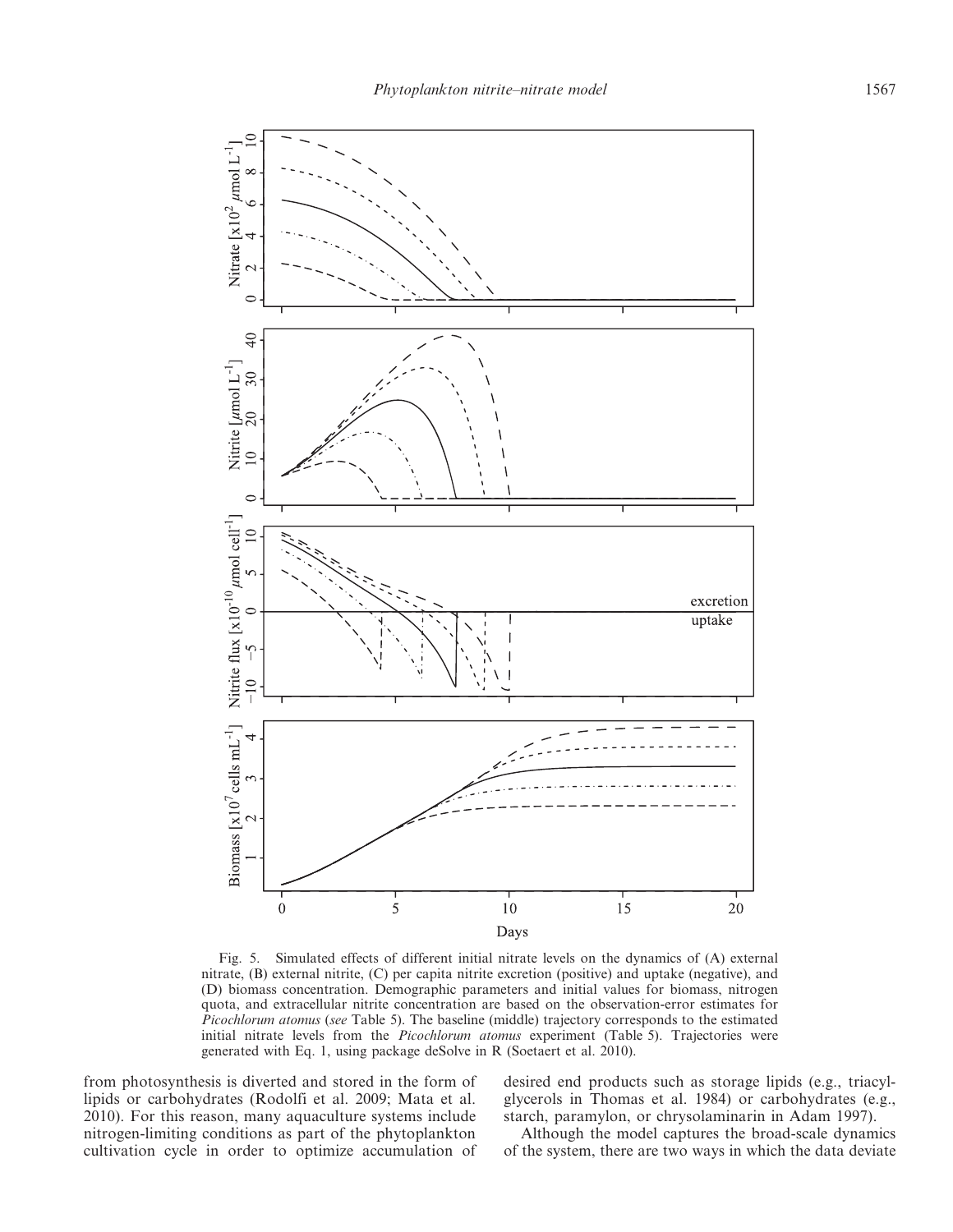

Fig. 5. Simulated effects of different initial nitrate levels on the dynamics of (A) external nitrate, (B) external nitrite, (C) per capita nitrite excretion (positive) and uptake (negative), and (D) biomass concentration. Demographic parameters and initial values for biomass, nitrogen quota, and extracellular nitrite concentration are based on the observation-error estimates for Picochlorum atomus (see Table 5). The baseline (middle) trajectory corresponds to the estimated initial nitrate levels from the Picochlorum atomus experiment (Table 5). Trajectories were generated with Eq. 1, using package deSolve in R (Soetaert et al. 2010).

from photosynthesis is diverted and stored in the form of lipids or carbohydrates (Rodolfi et al. 2009; Mata et al. 2010). For this reason, many aquaculture systems include nitrogen-limiting conditions as part of the phytoplankton cultivation cycle in order to optimize accumulation of

desired end products such as storage lipids (e.g., triacylglycerols in Thomas et al. 1984) or carbohydrates (e.g., starch, paramylon, or chrysolaminarin in Adam 1997).

Although the model captures the broad-scale dynamics of the system, there are two ways in which the data deviate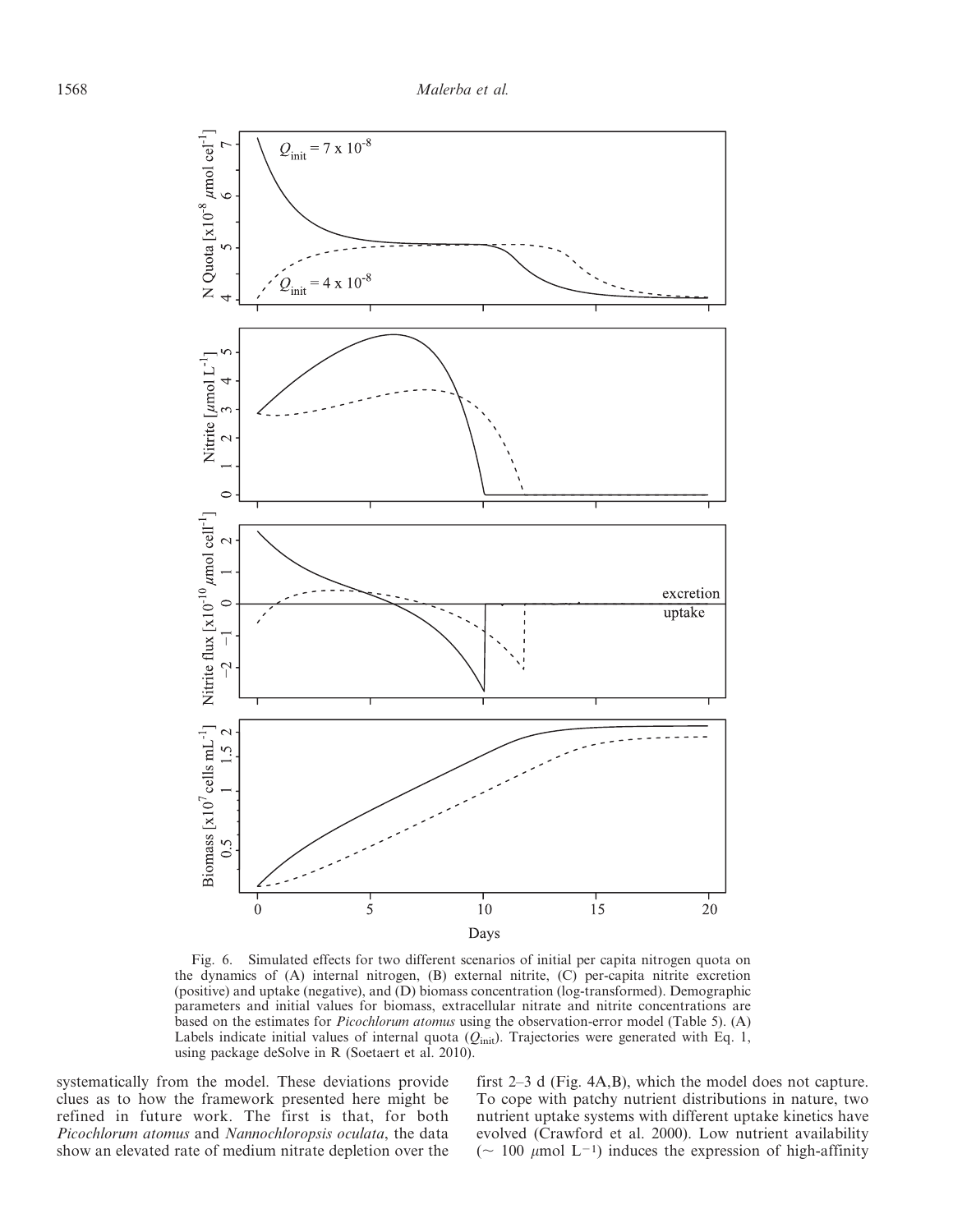

Fig. 6. Simulated effects for two different scenarios of initial per capita nitrogen quota on the dynamics of (A) internal nitrogen, (B) external nitrite, (C) per-capita nitrite excretion (positive) and uptake (negative), and (D) biomass concentration (log-transformed). Demographic parameters and initial values for biomass, extracellular nitrate and nitrite concentrations are based on the estimates for Picochlorum atomus using the observation-error model (Table 5). (A) Labels indicate initial values of internal quota  $(Q<sub>init</sub>)$ . Trajectories were generated with Eq. 1, using package deSolve in R (Soetaert et al. 2010).

systematically from the model. These deviations provide clues as to how the framework presented here might be refined in future work. The first is that, for both Picochlorum atomus and Nannochloropsis oculata, the data show an elevated rate of medium nitrate depletion over the first 2–3 d (Fig. 4A,B), which the model does not capture. To cope with patchy nutrient distributions in nature, two nutrient uptake systems with different uptake kinetics have evolved (Crawford et al. 2000). Low nutrient availability ( $\sim$  100 µmol L<sup>-1</sup>) induces the expression of high-affinity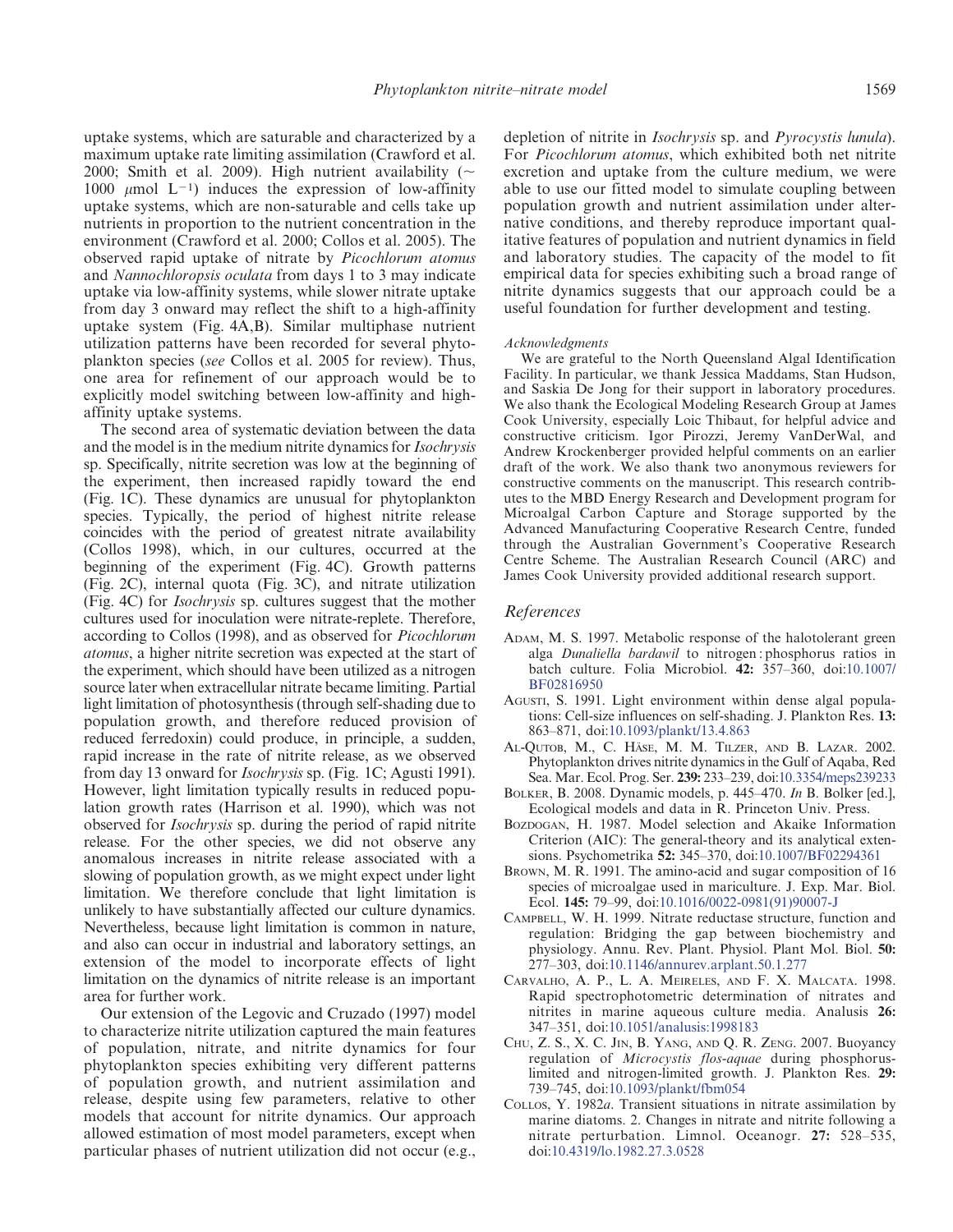uptake systems, which are saturable and characterized by a maximum uptake rate limiting assimilation (Crawford et al. 2000; Smith et al. 2009). High nutrient availability ( $\sim$ 1000  $\mu$ mol L<sup>-1</sup>) induces the expression of low-affinity uptake systems, which are non-saturable and cells take up nutrients in proportion to the nutrient concentration in the environment (Crawford et al. 2000; Collos et al. 2005). The observed rapid uptake of nitrate by Picochlorum atomus and Nannochloropsis oculata from days 1 to 3 may indicate uptake via low-affinity systems, while slower nitrate uptake from day 3 onward may reflect the shift to a high-affinity uptake system (Fig. 4A,B). Similar multiphase nutrient utilization patterns have been recorded for several phytoplankton species (see Collos et al. 2005 for review). Thus, one area for refinement of our approach would be to explicitly model switching between low-affinity and highaffinity uptake systems.

The second area of systematic deviation between the data and the model is in the medium nitrite dynamics for Isochrysis sp. Specifically, nitrite secretion was low at the beginning of the experiment, then increased rapidly toward the end (Fig. 1C). These dynamics are unusual for phytoplankton species. Typically, the period of highest nitrite release coincides with the period of greatest nitrate availability (Collos 1998), which, in our cultures, occurred at the beginning of the experiment (Fig. 4C). Growth patterns (Fig. 2C), internal quota (Fig. 3C), and nitrate utilization (Fig. 4C) for Isochrysis sp. cultures suggest that the mother cultures used for inoculation were nitrate-replete. Therefore, according to Collos (1998), and as observed for Picochlorum atomus, a higher nitrite secretion was expected at the start of the experiment, which should have been utilized as a nitrogen source later when extracellular nitrate became limiting. Partial light limitation of photosynthesis (through self-shading due to population growth, and therefore reduced provision of reduced ferredoxin) could produce, in principle, a sudden, rapid increase in the rate of nitrite release, as we observed from day 13 onward for Isochrysis sp. (Fig. 1C; Agusti 1991). However, light limitation typically results in reduced population growth rates (Harrison et al. 1990), which was not observed for Isochrysis sp. during the period of rapid nitrite release. For the other species, we did not observe any anomalous increases in nitrite release associated with a slowing of population growth, as we might expect under light limitation. We therefore conclude that light limitation is unlikely to have substantially affected our culture dynamics. Nevertheless, because light limitation is common in nature, and also can occur in industrial and laboratory settings, an extension of the model to incorporate effects of light limitation on the dynamics of nitrite release is an important area for further work.

Our extension of the Legovic and Cruzado (1997) model to characterize nitrite utilization captured the main features of population, nitrate, and nitrite dynamics for four phytoplankton species exhibiting very different patterns of population growth, and nutrient assimilation and release, despite using few parameters, relative to other models that account for nitrite dynamics. Our approach allowed estimation of most model parameters, except when particular phases of nutrient utilization did not occur (e.g.,

depletion of nitrite in *Isochrysis* sp. and *Pyrocystis lunula*). For Picochlorum atomus, which exhibited both net nitrite excretion and uptake from the culture medium, we were able to use our fitted model to simulate coupling between population growth and nutrient assimilation under alternative conditions, and thereby reproduce important qualitative features of population and nutrient dynamics in field and laboratory studies. The capacity of the model to fit empirical data for species exhibiting such a broad range of nitrite dynamics suggests that our approach could be a useful foundation for further development and testing.

#### Acknowledgments

We are grateful to the North Queensland Algal Identification Facility. In particular, we thank Jessica Maddams, Stan Hudson, and Saskia De Jong for their support in laboratory procedures. We also thank the Ecological Modeling Research Group at James Cook University, especially Loic Thibaut, for helpful advice and constructive criticism. Igor Pirozzi, Jeremy VanDerWal, and Andrew Krockenberger provided helpful comments on an earlier draft of the work. We also thank two anonymous reviewers for constructive comments on the manuscript. This research contributes to the MBD Energy Research and Development program for Microalgal Carbon Capture and Storage supported by the Advanced Manufacturing Cooperative Research Centre, funded through the Australian Government's Cooperative Research Centre Scheme. The Australian Research Council (ARC) and James Cook University provided additional research support.

#### References

- ADAM, M. S. 1997. Metabolic response of the halotolerant green alga Dunaliella bardawil to nitrogen : phosphorus ratios in batch culture. Folia Microbiol. 42: 357–36[0, doi:10.1007/](http://dx.doi.org/10.1007%2FBF02816950) [BF02816950](http://dx.doi.org/10.1007%2FBF02816950)
- AGUSTI, S. 1991. Light environment within dense algal populations: Cell-size influences on self-shading. J. Plankton Res. 13: 863–87[1, doi:10.1093/plankt/13.4.863](http://dx.doi.org/10.1093%2Fplankt%2F13.4.863)
- AL-QUTOB, M., C. HÄSE, M. M. TILZER, AND B. LAZAR. 2002. Phytoplankton drives nitrite dynamics in the Gulf of Aqaba, Red Sea. Mar. Ecol. Prog. Ser. 239: 233–23[9, doi:10.3354/meps239233](http://dx.doi.org/10.3354%2Fmeps239233)
- BOLKER, B. 2008. Dynamic models, p. 445–470. In B. Bolker [ed.], Ecological models and data in R. Princeton Univ. Press.
- BOZDOGAN, H. 1987. Model selection and Akaike Information Criterion (AIC): The general-theory and its analytical extensions. Psychometrika 52: 345–370[, doi:10.1007/BF02294361](http://dx.doi.org/10.1007%2FBF02294361)
- BROWN, M. R. 1991. The amino-acid and sugar composition of 16 species of microalgae used in mariculture. J. Exp. Mar. Biol. Ecol. 145: 79–99[, doi:10.1016/0022-0981\(91\)90007-J](http://dx.doi.org/10.1016%2F0022-0981%2891%2990007-J)
- CAMPBELL, W. H. 1999. Nitrate reductase structure, function and regulation: Bridging the gap between biochemistry and physiology. Annu. Rev. Plant. Physiol. Plant Mol. Biol. 50: 277–30[3, doi:10.1146/annurev.arplant.50.1.277](http://dx.doi.org/10.1146%2Fannurev.arplant.50.1.277)
- CARVALHO, A. P., L. A. MEIRELES, AND F. X. MALCATA. 1998. Rapid spectrophotometric determination of nitrates and nitrites in marine aqueous culture media. Analusis 26: 347–35[1, doi:10.1051/analusis:1998183](http://dx.doi.org/10.1051%2Fanalusis%3A1998183)
- CHU, Z. S., X. C. JIN, B. YANG, AND Q. R. ZENG. 2007. Buoyancy regulation of Microcystis flos-aquae during phosphoruslimited and nitrogen-limited growth. J. Plankton Res. 29: 739–74[5, doi:10.1093/plankt/fbm054](http://dx.doi.org/10.1093%2Fplankt%2Ffbm054)
- COLLOS, Y. 1982a. Transient situations in nitrate assimilation by marine diatoms. 2. Changes in nitrate and nitrite following a nitrate perturbation. Limnol. Oceanogr. 27: 528–53[5,](http://dx.doi.org/10.4319%2Flo.1982.27.3.0528) [doi:10.4319/lo.1982.27.3.0528](http://dx.doi.org/10.4319%2Flo.1982.27.3.0528)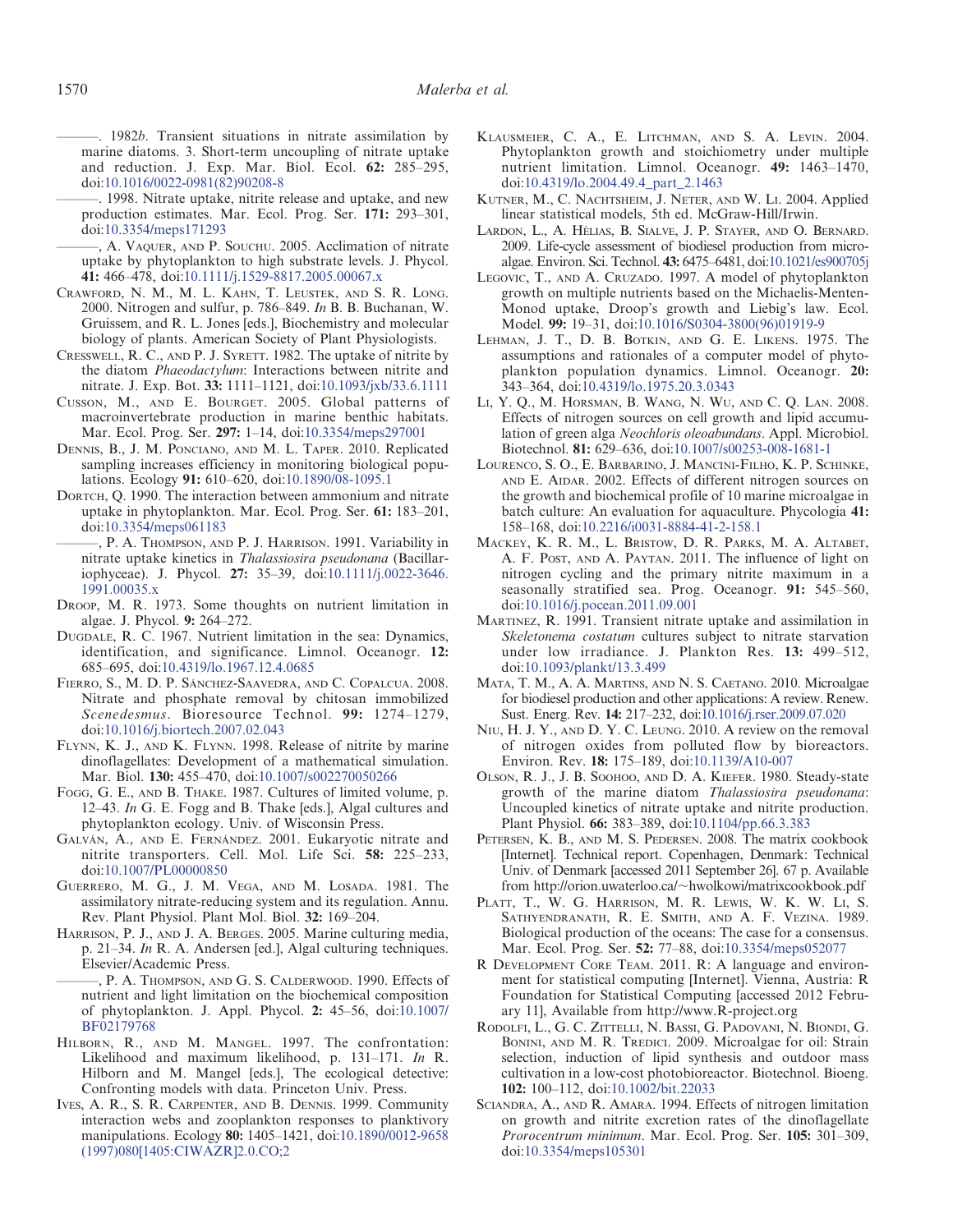$-$ . 1982b. Transient situations in nitrate assimilation by marine diatoms. 3. Short-term uncoupling of nitrate uptake and reduction. J. Exp. Mar. Biol. Ecol. 62: 285–295[,](http://dx.doi.org/10.1016%2F0022-0981%2882%2990208-8) [doi:10.1016/0022-0981\(82\)90208-8](http://dx.doi.org/10.1016%2F0022-0981%2882%2990208-8)

———. 1998. Nitrate uptake, nitrite release and uptake, and new production estimates. Mar. Ecol. Prog. Ser. 171: 293–30[1,](http://dx.doi.org/10.3354%2Fmeps171293) [doi:10.3354/meps171293](http://dx.doi.org/10.3354%2Fmeps171293)

———, A. VAQUER, AND P. SOUCHU. 2005. Acclimation of nitrate uptake by phytoplankton to high substrate levels. J. Phycol. 41: 466–47[8, doi:10.1111/j.1529-8817.2005.00067.x](http://dx.doi.org/10.1111%2Fj.1529-8817.2005.00067.x)

CRAWFORD, N. M., M. L. KAHN, T. LEUSTEK, AND S. R. LONG. 2000. Nitrogen and sulfur, p. 786–849. In B. B. Buchanan, W. Gruissem, and R. L. Jones [eds.], Biochemistry and molecular biology of plants. American Society of Plant Physiologists.

CRESSWELL, R. C., AND P. J. SYRETT. 1982. The uptake of nitrite by the diatom Phaeodactylum: Interactions between nitrite and nitrate. J. Exp. Bot. 33: 1111–112[1, doi:10.1093/jxb/33.6.1111](http://dx.doi.org/10.1093%2Fjxb%2F33.6.1111)

- CUSSON, M., AND E. BOURGET. 2005. Global patterns of macroinvertebrate production in marine benthic habitats. Mar. Ecol. Prog. Ser. 297: 1–1[4, doi:10.3354/meps297001](http://dx.doi.org/10.3354%2Fmeps297001)
- DENNIS, B., J. M. PONCIANO, AND M. L. TAPER. 2010. Replicated sampling increases efficiency in monitoring biological populations. Ecology 91: 610–62[0, doi:10.1890/08-1095.1](http://dx.doi.org/10.1890%2F08-1095.1)
- DORTCH, Q. 1990. The interaction between ammonium and nitrate uptake in phytoplankton. Mar. Ecol. Prog. Ser. 61: 183–20[1,](http://dx.doi.org/10.3354%2Fmeps061183) [doi:10.3354/meps061183](http://dx.doi.org/10.3354%2Fmeps061183)
- ———, P. A. THOMPSON, AND P. J. HARRISON. 1991. Variability in nitrate uptake kinetics in Thalassiosira pseudonana (Bacillariophyceae). J. Phycol. 27: 35–3[9, doi:10.1111/j.0022-3646.](http://dx.doi.org/10.1111%2Fj.0022-3646.1991.00035.x) [1991.00035.x](http://dx.doi.org/10.1111%2Fj.0022-3646.1991.00035.x)
- DROOP, M. R. 1973. Some thoughts on nutrient limitation in algae. J. Phycol. 9: 264–272.
- DUGDALE, R. C. 1967. Nutrient limitation in the sea: Dynamics, identification, and significance. Limnol. Oceanogr. 12: 685–695[, doi:10.4319/lo.1967.12.4.0685](http://dx.doi.org/10.4319%2Flo.1967.12.4.0685)
- FIERRO, S., M. D. P. SÁNCHEZ-SAAVEDRA, AND C. COPALCUA. 2008. Nitrate and phosphate removal by chitosan immobilized Scenedesmus. Bioresource Technol. 99: 1274-1279[,](http://dx.doi.org/10.1016%2Fj.biortech.2007.02.043) [doi:10.1016/j.biortech.2007.02.043](http://dx.doi.org/10.1016%2Fj.biortech.2007.02.043)
- FLYNN, K. J., AND K. FLYNN. 1998. Release of nitrite by marine dinoflagellates: Development of a mathematical simulation. Mar. Biol. 130: 455–470[, doi:10.1007/s002270050266](http://dx.doi.org/10.1007%2Fs002270050266)
- FOGG, G. E., AND B. THAKE. 1987. Cultures of limited volume, p. 12–43. In G. E. Fogg and B. Thake [eds.], Algal cultures and phytoplankton ecology. Univ. of Wisconsin Press.
- GALVÁN, A., AND E. FERNÁNDEZ. 2001. Eukaryotic nitrate and nitrite transporters. Cell. Mol. Life Sci. 58: 225–233[,](http://dx.doi.org/10.1007%2FPL00000850) [doi:10.1007/PL00000850](http://dx.doi.org/10.1007%2FPL00000850)
- GUERRERO, M. G., J. M. VEGA, AND M. LOSADA. 1981. The assimilatory nitrate-reducing system and its regulation. Annu. Rev. Plant Physiol. Plant Mol. Biol. 32: 169–204.
- HARRISON, P. J., AND J. A. BERGES. 2005. Marine culturing media, p. 21–34. In R. A. Andersen [ed.], Algal culturing techniques. Elsevier/Academic Press.
- ———, P. A. THOMPSON, AND G. S. CALDERWOOD. 1990. Effects of nutrient and light limitation on the biochemical composition of phytoplankton. J. Appl. Phycol. 2: 45–56[, doi:10.1007/](http://dx.doi.org/10.1007%2FBF02179768) [BF02179768](http://dx.doi.org/10.1007%2FBF02179768)
- HILBORN, R., AND M. MANGEL. 1997. The confrontation: Likelihood and maximum likelihood, p. 131–171. In R. Hilborn and M. Mangel [eds.], The ecological detective: Confronting models with data. Princeton Univ. Press.
- IVES, A. R., S. R. CARPENTER, AND B. DENNIS. 1999. Community interaction webs and zooplankton responses to planktivory manipulations. Ecology 80: 1405–1421[, doi:10.1890/0012-9658](http://dx.doi.org/10.1890%2F0012-9658%281997%29080%5B1405%3ACIWAZR%5D2.0.CO%3B2) [\(1997\)080\[1405:CIWAZR\]2.0.CO;2](http://dx.doi.org/10.1890%2F0012-9658%281997%29080%5B1405%3ACIWAZR%5D2.0.CO%3B2)
- KLAUSMEIER, C. A., E. LITCHMAN, AND S. A. LEVIN. 2004. Phytoplankton growth and stoichiometry under multiple nutrient limitation. Limnol. Oceanogr. 49: 1463–1470[,](http://dx.doi.org/10.4319%2Flo.2004.49.4_part_2.1463) [doi:10.4319/lo.2004.49.4\\_part\\_2.1463](http://dx.doi.org/10.4319%2Flo.2004.49.4_part_2.1463)
- KUTNER, M., C. NACHTSHEIM, J. NETER, AND W. LI. 2004. Applied linear statistical models, 5th ed. McGraw-Hill/Irwin.
- LARDON, L., A. HÉLIAS, B. SIALVE, J. P. STAYER, AND O. BERNARD. 2009. Life-cycle assessment of biodiesel production from microalgae. Environ. Sci. Technol. 43: 6475–648[1, doi:10.1021/es900705j](http://dx.doi.org/10.1021%2Fes900705j)
- LEGOVIC, T., AND A. CRUZADO. 1997. A model of phytoplankton growth on multiple nutrients based on the Michaelis-Menten-Monod uptake, Droop's growth and Liebig's law. Ecol. Model. 99: 19–31[, doi:10.1016/S0304-3800\(96\)01919-9](http://dx.doi.org/10.1016%2FS0304-3800%2896%2901919-9)
- LEHMAN, J. T., D. B. BOTKIN, AND G. E. LIKENS. 1975. The assumptions and rationales of a computer model of phytoplankton population dynamics. Limnol. Oceanogr. 20: 343–364[, doi:10.4319/lo.1975.20.3.0343](http://dx.doi.org/10.4319%2Flo.1975.20.3.0343)
- LI, Y. Q., M. HORSMAN, B. WANG, N. WU, AND C. Q. LAN. 2008. Effects of nitrogen sources on cell growth and lipid accumulation of green alga Neochloris oleoabundans. Appl. Microbiol. Biotechnol. 81: 629–63[6, doi:10.1007/s00253-008-1681-1](http://dx.doi.org/10.1007%2Fs00253-008-1681-1)
- LOURENCO, S. O., E. BARBARINO, J. MANCINI-FILHO, K. P. SCHINKE, AND E. AIDAR. 2002. Effects of different nitrogen sources on the growth and biochemical profile of 10 marine microalgae in batch culture: An evaluation for aquaculture. Phycologia 41: 158–168[, doi:10.2216/i0031-8884-41-2-158.1](http://dx.doi.org/10.2216%2Fi0031-8884-41-2-158.1)
- MACKEY, K. R. M., L. BRISTOW, D. R. PARKS, M. A. ALTABET, A. F. POST, AND A. PAYTAN. 2011. The influence of light on nitrogen cycling and the primary nitrite maximum in a seasonally stratified sea. Prog. Oceanogr. 91: 545–560[,](http://dx.doi.org/10.1016%2Fj.pocean.2011.09.001) [doi:10.1016/j.pocean.2011.09.001](http://dx.doi.org/10.1016%2Fj.pocean.2011.09.001)
- MARTINEZ, R. 1991. Transient nitrate uptake and assimilation in Skeletonema costatum cultures subject to nitrate starvation under low irradiance. J. Plankton Res. 13: 499–512[,](http://dx.doi.org/10.1093%2Fplankt%2F13.3.499) [doi:10.1093/plankt/13.3.499](http://dx.doi.org/10.1093%2Fplankt%2F13.3.499)
- MATA, T. M., A. A. MARTINS, AND N. S. CAETANO. 2010. Microalgae for biodiesel production and other applications: A review. Renew. Sust. Energ. Rev. 14: 217–23[2, doi:10.1016/j.rser.2009.07.020](http://dx.doi.org/10.1016%2Fj.rser.2009.07.020)
- NIU, H. J. Y., AND D. Y. C. LEUNG. 2010. A review on the removal of nitrogen oxides from polluted flow by bioreactors. Environ. Rev. 18: 175–18[9, doi:10.1139/A10-007](http://dx.doi.org/10.1139%2FA10-007)
- OLSON, R. J., J. B. SOOHOO, AND D. A. KIEFER. 1980. Steady-state growth of the marine diatom Thalassiosira pseudonana: Uncoupled kinetics of nitrate uptake and nitrite production. Plant Physiol. 66: 383–389[, doi:10.1104/pp.66.3.383](http://dx.doi.org/10.1104%2Fpp.66.3.383)
- PETERSEN, K. B., AND M. S. PEDERSEN. 2008. The matrix cookbook [Internet]. Technical report. Copenhagen, Denmark: Technical Univ. of Denmark [accessed 2011 September 26]. 67 p. Available from http://orion.uwaterloo.ca/~hwolkowi/matrixcookbook.pdf
- PLATT, T., W. G. HARRISON, M. R. LEWIS, W. K. W. LI, S. SATHYENDRANATH, R. E. SMITH, AND A. F. VEZINA. 1989. Biological production of the oceans: The case for a consensus. Mar. Ecol. Prog. Ser. 52: 77–8[8, doi:10.3354/meps052077](http://dx.doi.org/10.3354%2Fmeps052077)
- R DEVELOPMENT CORE TEAM. 2011. R: A language and environment for statistical computing [Internet]. Vienna, Austria: R Foundation for Statistical Computing [accessed 2012 February 11], Available from http://www.R-project.org
- RODOLFI, L., G. C. ZITTELLI, N. BASSI, G. PADOVANI, N. BIONDI, G. BONINI, AND M. R. TREDICI. 2009. Microalgae for oil: Strain selection, induction of lipid synthesis and outdoor mass cultivation in a low-cost photobioreactor. Biotechnol. Bioeng. 102: 100–112[, doi:10.1002/bit.22033](http://dx.doi.org/10.1002%2Fbit.22033)
- SCIANDRA, A., AND R. AMARA. 1994. Effects of nitrogen limitation on growth and nitrite excretion rates of the dinoflagellate Prorocentrum minimum. Mar. Ecol. Prog. Ser. 105: 301-309[,](http://dx.doi.org/10.3354%2Fmeps105301) [doi:10.3354/meps105301](http://dx.doi.org/10.3354%2Fmeps105301)